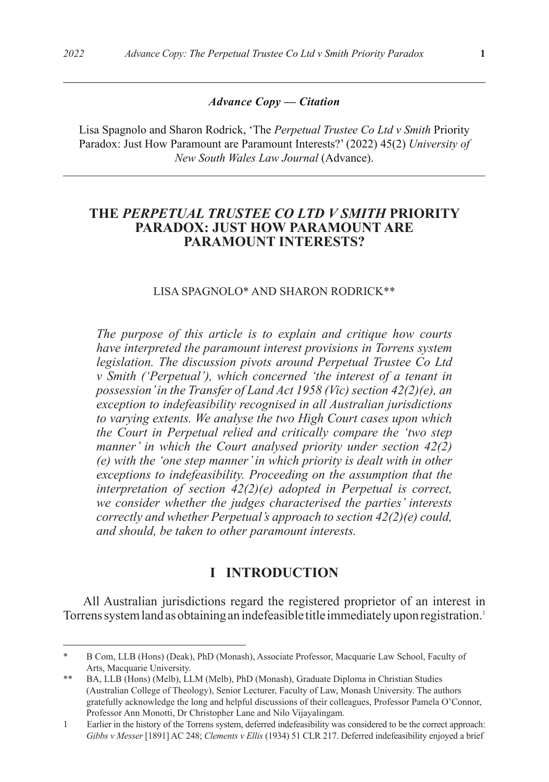#### *Advance Copy — Citation*

Lisa Spagnolo and Sharon Rodrick, 'The *Perpetual Trustee Co Ltd v Smith* Priority Paradox: Just How Paramount are Paramount Interests?' (2022) 45(2) *University of New South Wales Law Journal* (Advance).

## **THE** *PERPETUAL TRUSTEE CO LTD V SMITH* **PRIORITY PARADOX: JUST HOW PARAMOUNT ARE PARAMOUNT INTERESTS?**

### LISA SPAGNOLO\* AND SHARON RODRICK\*\*

*The purpose of this article is to explain and critique how courts have interpreted the paramount interest provisions in Torrens system legislation. The discussion pivots around Perpetual Trustee Co Ltd v Smith ('Perpetual'), which concerned 'the interest of a tenant in possession' in the Transfer of Land Act 1958 (Vic) section 42(2)(e), an exception to indefeasibility recognised in all Australian jurisdictions to varying extents. We analyse the two High Court cases upon which the Court in Perpetual relied and critically compare the 'two step manner' in which the Court analysed priority under section 42(2) (e) with the 'one step manner' in which priority is dealt with in other exceptions to indefeasibility. Proceeding on the assumption that the interpretation of section 42(2)(e) adopted in Perpetual is correct, we consider whether the judges characterised the parties' interests correctly and whether Perpetual's approach to section 42(2)(e) could, and should, be taken to other paramount interests.*

## **I INTRODUCTION**

All Australian jurisdictions regard the registered proprietor of an interest in Torrens system land as obtaining an indefeasible title immediately upon registration.1

<sup>\*</sup> B Com, LLB (Hons) (Deak), PhD (Monash), Associate Professor, Macquarie Law School, Faculty of Arts, Macquarie University.

<sup>\*\*</sup> BA, LLB (Hons) (Melb), LLM (Melb), PhD (Monash), Graduate Diploma in Christian Studies (Australian College of Theology), Senior Lecturer, Faculty of Law, Monash University. The authors gratefully acknowledge the long and helpful discussions of their colleagues, Professor Pamela O'Connor, Professor Ann Monotti, Dr Christopher Lane and Nilo Vijayalingam.

<sup>1</sup> Earlier in the history of the Torrens system, deferred indefeasibility was considered to be the correct approach: *Gibbs v Messer* [1891] AC 248; *Clements v Ellis* (1934) 51 CLR 217. Deferred indefeasibility enjoyed a brief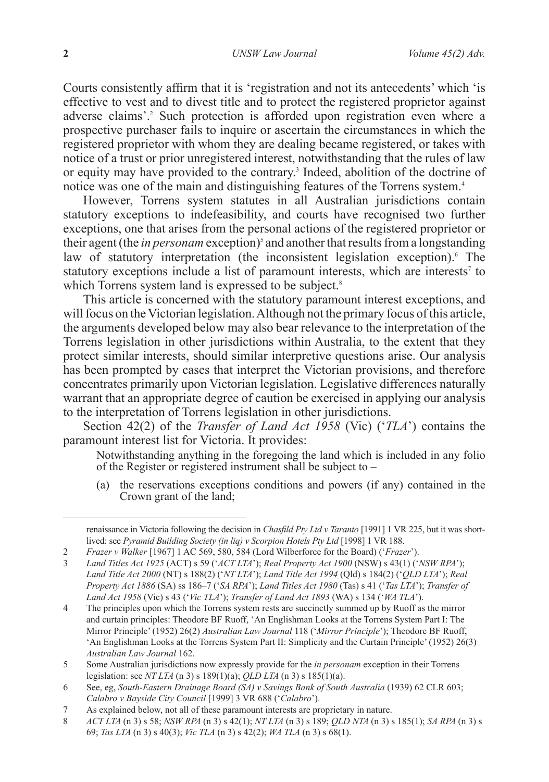Courts consistently affirm that it is 'registration and not its antecedents' which 'is effective to vest and to divest title and to protect the registered proprietor against adverse claims'.<sup>2</sup> Such protection is afforded upon registration even where a prospective purchaser fails to inquire or ascertain the circumstances in which the registered proprietor with whom they are dealing became registered, or takes with notice of a trust or prior unregistered interest, notwithstanding that the rules of law or equity may have provided to the contrary.3 Indeed, abolition of the doctrine of notice was one of the main and distinguishing features of the Torrens system.<sup>4</sup>

However, Torrens system statutes in all Australian jurisdictions contain statutory exceptions to indefeasibility, and courts have recognised two further exceptions, one that arises from the personal actions of the registered proprietor or their agent (the *in personam* exception)<sup>5</sup> and another that results from a longstanding law of statutory interpretation (the inconsistent legislation exception). The statutory exceptions include a list of paramount interests, which are interests<sup>7</sup> to which Torrens system land is expressed to be subject.<sup>8</sup>

This article is concerned with the statutory paramount interest exceptions, and will focus on the Victorian legislation. Although not the primary focus of this article, the arguments developed below may also bear relevance to the interpretation of the Torrens legislation in other jurisdictions within Australia, to the extent that they protect similar interests, should similar interpretive questions arise. Our analysis has been prompted by cases that interpret the Victorian provisions, and therefore concentrates primarily upon Victorian legislation. Legislative differences naturally warrant that an appropriate degree of caution be exercised in applying our analysis to the interpretation of Torrens legislation in other jurisdictions.

Section 42(2) of the *Transfer of Land Act 1958* (Vic) ('*TLA*') contains the paramount interest list for Victoria. It provides:

Notwithstanding anything in the foregoing the land which is included in any folio of the Register or registered instrument shall be subject to –

(a) the reservations exceptions conditions and powers (if any) contained in the Crown grant of the land;

renaissance in Victoria following the decision in *Chasfild Pty Ltd v Taranto* [1991] 1 VR 225, but it was shortlived: see *Pyramid Building Society (in liq) v Scorpion Hotels Pty Ltd* [1998] 1 VR 188.

<sup>2</sup> *Frazer v Walker* [1967] 1 AC 569, 580, 584 (Lord Wilberforce for the Board) ('*Frazer*').

<sup>3</sup> *Land Titles Act 1925* (ACT) s 59 ('*ACT LTA*'); *Real Property Act 1900* (NSW) s 43(1) ('*NSW RPA*'); *Land Title Act 2000* (NT) s 188(2) ('*NT LTA*'); *Land Title Act 1994* (Qld) s 184(2) ('*QLD LTA*'); *Real Property Act 1886* (SA) ss 186–7 ('*SA RPA*'); *Land Titles Act 1980* (Tas) s 41 ('*Tas LTA*'); *Transfer of Land Act 1958* (Vic) s 43 ('*Vic TLA*'); *Transfer of Land Act 1893* (WA) s 134 ('*WA TLA*').

<sup>4</sup> The principles upon which the Torrens system rests are succinctly summed up by Ruoff as the mirror and curtain principles: Theodore BF Ruoff, 'An Englishman Looks at the Torrens System Part I: The Mirror Principle' (1952) 26(2) *Australian Law Journal* 118 ('*Mirror Principle*'); Theodore BF Ruoff, 'An Englishman Looks at the Torrens System Part II: Simplicity and the Curtain Principle' (1952) 26(3) *Australian Law Journal* 162.

<sup>5</sup> Some Australian jurisdictions now expressly provide for the *in personam* exception in their Torrens legislation: see *NT LTA* (n 3) s 189(1)(a); *QLD LTA* (n 3) s 185(1)(a).

<sup>6</sup> See, eg, *South-Eastern Drainage Board (SA) v Savings Bank of South Australia* (1939) 62 CLR 603; *Calabro v Bayside City Council* [1999] 3 VR 688 ('*Calabro*').

<sup>7</sup> As explained below, not all of these paramount interests are proprietary in nature.<br>8  $\angle ACTLTA$  (n 3) s 58: NSW RPA (n 3) s 42(1): NT LTA (n 3) s 189: OLD NTA (n 3) s

<sup>8</sup> *ACT LTA* (n 3) s 58; *NSW RPA* (n 3) s 42(1); *NT LTA* (n 3) s 189; *QLD NTA* (n 3) s 185(1); *SA RPA* (n 3) s 69; *Tas LTA* (n 3) s 40(3); *Vic TLA* (n 3) s 42(2); *WA TLA* (n 3) s 68(1).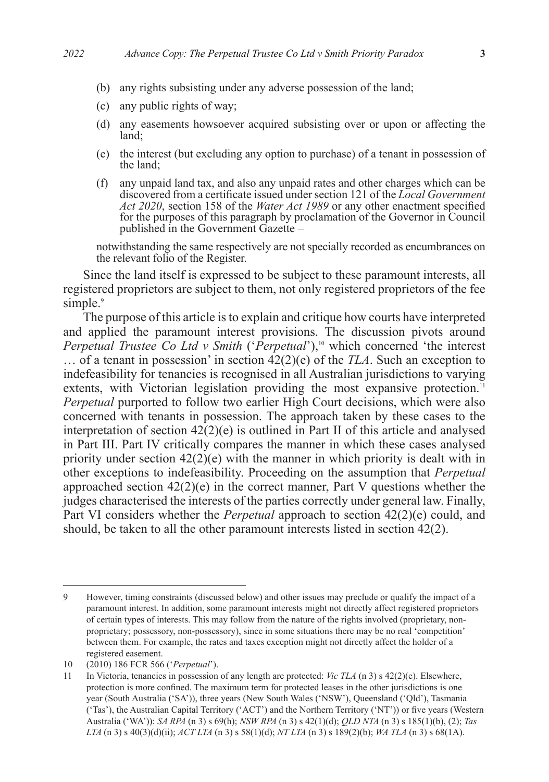- (b) any rights subsisting under any adverse possession of the land;
- (c) any public rights of way;
- (d) any easements howsoever acquired subsisting over or upon or affecting the land:
- (e) the interest (but excluding any option to purchase) of a tenant in possession of the land;
- (f) any unpaid land tax, and also any unpaid rates and other charges which can be discovered from a certificate issued under section 121 of the *Local Government Act 2020*, section 158 of the *Water Act 1989* or any other enactment specified for the purposes of this paragraph by proclamation of the Governor in Council published in the Government Gazette –

notwithstanding the same respectively are not specially recorded as encumbrances on the relevant folio of the Register.

Since the land itself is expressed to be subject to these paramount interests, all registered proprietors are subject to them, not only registered proprietors of the fee simple.<sup>9</sup>

The purpose of this article is to explain and critique how courts have interpreted and applied the paramount interest provisions. The discussion pivots around *Perpetual Trustee Co Ltd v Smith* ('*Perpetual*'),<sup>10</sup> which concerned 'the interest … of a tenant in possession' in section 42(2)(e) of the *TLA*. Such an exception to indefeasibility for tenancies is recognised in all Australian jurisdictions to varying extents, with Victorian legislation providing the most expansive protection.<sup>11</sup> *Perpetual* purported to follow two earlier High Court decisions, which were also concerned with tenants in possession. The approach taken by these cases to the interpretation of section  $42(2)(e)$  is outlined in Part II of this article and analysed in Part III. Part IV critically compares the manner in which these cases analysed priority under section  $42(2)(e)$  with the manner in which priority is dealt with in other exceptions to indefeasibility. Proceeding on the assumption that *Perpetual* approached section 42(2)(e) in the correct manner, Part V questions whether the judges characterised the interests of the parties correctly under general law. Finally, Part VI considers whether the *Perpetual* approach to section 42(2)(e) could, and should, be taken to all the other paramount interests listed in section 42(2).

<sup>9</sup> However, timing constraints (discussed below) and other issues may preclude or qualify the impact of a paramount interest. In addition, some paramount interests might not directly affect registered proprietors of certain types of interests. This may follow from the nature of the rights involved (proprietary, nonproprietary; possessory, non-possessory), since in some situations there may be no real 'competition' between them. For example, the rates and taxes exception might not directly affect the holder of a registered easement.

<sup>10</sup> (2010) 186 FCR 566 ('*Perpetual*').

<sup>11</sup> In Victoria, tenancies in possession of any length are protected: *Vic TLA* (n 3) s 42(2)(e). Elsewhere, protection is more confined. The maximum term for protected leases in the other jurisdictions is one year (South Australia ('SA')), three years (New South Wales ('NSW'), Queensland ('Qld'), Tasmania ('Tas'), the Australian Capital Territory ('ACT') and the Northern Territory ('NT')) or five years (Western Australia ('WA')): *SA RPA* (n 3) s 69(h); *NSW RPA* (n 3) s 42(1)(d); *QLD NTA* (n 3) s 185(1)(b), (2); *Tas LTA* (n 3) s 40(3)(d)(ii); *ACT LTA* (n 3) s 58(1)(d); *NT LTA* (n 3) s 189(2)(b); *WA TLA* (n 3) s 68(1A).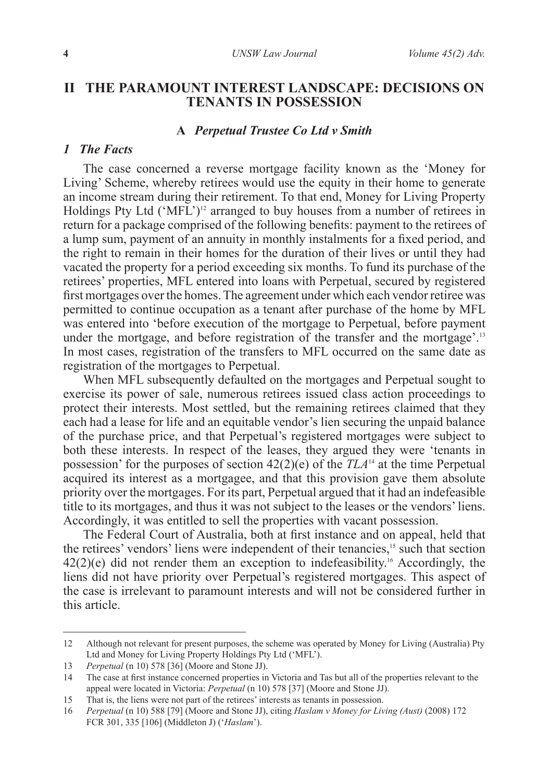## **II THE PARAMOUNT INTEREST LANDSCAPE: DECISIONS ON TENANTS IN POSSESSION**

#### **A** *Perpetual Trustee Co Ltd v Smith*

## *1 The Facts*

The case concerned a reverse mortgage facility known as the 'Money for Living' Scheme, whereby retirees would use the equity in their home to generate an income stream during their retirement. To that end, Money for Living Property Holdings Pty Ltd ('MFL')<sup>12</sup> arranged to buy houses from a number of retirees in return for a package comprised of the following benefits: payment to the retirees of a lump sum, payment of an annuity in monthly instalments for a fixed period, and the right to remain in their homes for the duration of their lives or until they had vacated the property for a period exceeding six months. To fund its purchase of the retirees' properties, MFL entered into loans with Perpetual, secured by registered first mortgages over the homes. The agreement under which each vendor retiree was permitted to continue occupation as a tenant after purchase of the home by MFL was entered into 'before execution of the mortgage to Perpetual, before payment under the mortgage, and before registration of the transfer and the mortgage'.<sup>13</sup> In most cases, registration of the transfers to MFL occurred on the same date as registration of the mortgages to Perpetual.

When MFL subsequently defaulted on the mortgages and Perpetual sought to exercise its power of sale, numerous retirees issued class action proceedings to protect their interests. Most settled, but the remaining retirees claimed that they each had a lease for life and an equitable vendor's lien securing the unpaid balance of the purchase price, and that Perpetual's registered mortgages were subject to both these interests. In respect of the leases, they argued they were 'tenants in possession' for the purposes of section 42(2)(e) of the *TLA*14 at the time Perpetual acquired its interest as a mortgagee, and that this provision gave them absolute priority over the mortgages. For its part, Perpetual argued that it had an indefeasible title to its mortgages, and thus it was not subject to the leases or the vendors' liens. Accordingly, it was entitled to sell the properties with vacant possession.

The Federal Court of Australia, both at first instance and on appeal, held that the retirees' vendors' liens were independent of their tenancies,<sup>15</sup> such that section  $42(2)(e)$  did not render them an exception to indefeasibility.<sup>16</sup> Accordingly, the liens did not have priority over Perpetual's registered mortgages. This aspect of the case is irrelevant to paramount interests and will not be considered further in this article.

<sup>12</sup> Although not relevant for present purposes, the scheme was operated by Money for Living (Australia) Pty Ltd and Money for Living Property Holdings Pty Ltd ('MFL').

<sup>13</sup> *Perpetual* (n 10) 578 [36] (Moore and Stone JJ).

<sup>14</sup> The case at first instance concerned properties in Victoria and Tas but all of the properties relevant to the appeal were located in Victoria: *Perpetual* (n 10) 578 [37] (Moore and Stone JJ).

<sup>15</sup> That is, the liens were not part of the retirees' interests as tenants in possession.

<sup>16</sup> *Perpetual* (n 10) 588 [79] (Moore and Stone JJ), citing *Haslam v Money for Living (Aust)* (2008) 172 FCR 301, 335 [106] (Middleton J) ('*Haslam*').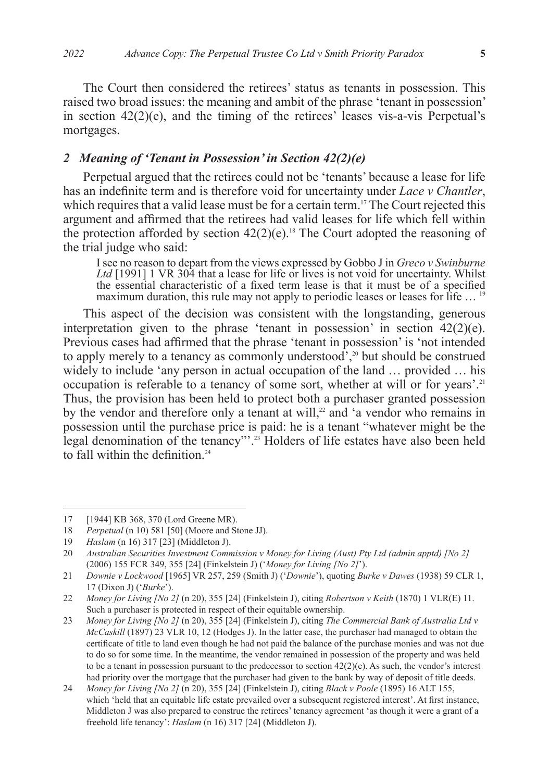The Court then considered the retirees' status as tenants in possession. This raised two broad issues: the meaning and ambit of the phrase 'tenant in possession' in section  $42(2)(e)$ , and the timing of the retirees' leases vis-a-vis Perpetual's mortgages.

## *2 Meaning of 'Tenant in Possession' in Section 42(2)(e)*

Perpetual argued that the retirees could not be 'tenants' because a lease for life has an indefinite term and is therefore void for uncertainty under *Lace v Chantler*, which requires that a valid lease must be for a certain term.<sup>17</sup> The Court rejected this argument and affirmed that the retirees had valid leases for life which fell within the protection afforded by section  $42(2)(e)$ .<sup>18</sup> The Court adopted the reasoning of the trial judge who said:

I see no reason to depart from the views expressed by Gobbo J in *Greco v Swinburne*  Ltd [1991] 1 VR 304 that a lease for life or lives is not void for uncertainty. Whilst the essential characteristic of a fixed term lease is that it must be of a specified maximum duration, this rule may not apply to periodic leases or leases for life ...<sup>19</sup>

This aspect of the decision was consistent with the longstanding, generous interpretation given to the phrase 'tenant in possession' in section 42(2)(e). Previous cases had affirmed that the phrase 'tenant in possession' is 'not intended to apply merely to a tenancy as commonly understood<sup> $\cdot$ </sup>,<sup>20</sup> but should be construed widely to include 'any person in actual occupation of the land ... provided ... his occupation is referable to a tenancy of some sort, whether at will or for years'.21 Thus, the provision has been held to protect both a purchaser granted possession by the vendor and therefore only a tenant at will,<sup>22</sup> and  $a$  vendor who remains in possession until the purchase price is paid: he is a tenant "whatever might be the legal denomination of the tenancy"'.<sup>23</sup> Holders of life estates have also been held to fall within the definition.<sup>24</sup>

<sup>17</sup> [1944] KB 368, 370 (Lord Greene MR).

<sup>18</sup> *Perpetual* (n 10) 581 [50] (Moore and Stone JJ).

<sup>19</sup> *Haslam* (n 16) 317 [23] (Middleton J).

<sup>20</sup> *Australian Securities Investment Commission v Money for Living (Aust) Pty Ltd (admin apptd) [No 2]* (2006) 155 FCR 349, 355 [24] (Finkelstein J) ('*Money for Living [No 2]*').

<sup>21</sup> *Downie v Lockwood* [1965] VR 257, 259 (Smith J) ('*Downie*'), quoting *Burke v Dawes* (1938) 59 CLR 1, 17 (Dixon J) ('*Burke*').

<sup>22</sup> *Money for Living [No 2]* (n 20), 355 [24] (Finkelstein J), citing *Robertson v Keith* (1870) 1 VLR(E) 11. Such a purchaser is protected in respect of their equitable ownership.

<sup>23</sup> *Money for Living [No 2]* (n 20), 355 [24] (Finkelstein J), citing *The Commercial Bank of Australia Ltd v McCaskill* (1897) 23 VLR 10, 12 (Hodges J). In the latter case, the purchaser had managed to obtain the certificate of title to land even though he had not paid the balance of the purchase monies and was not due to do so for some time. In the meantime, the vendor remained in possession of the property and was held to be a tenant in possession pursuant to the predecessor to section  $42(2)(e)$ . As such, the vendor's interest had priority over the mortgage that the purchaser had given to the bank by way of deposit of title deeds.

<sup>24</sup> *Money for Living [No 2]* (n 20), 355 [24] (Finkelstein J), citing *Black v Poole* (1895) 16 ALT 155, which 'held that an equitable life estate prevailed over a subsequent registered interest'. At first instance, Middleton J was also prepared to construe the retirees' tenancy agreement 'as though it were a grant of a freehold life tenancy': *Haslam* (n 16) 317 [24] (Middleton J).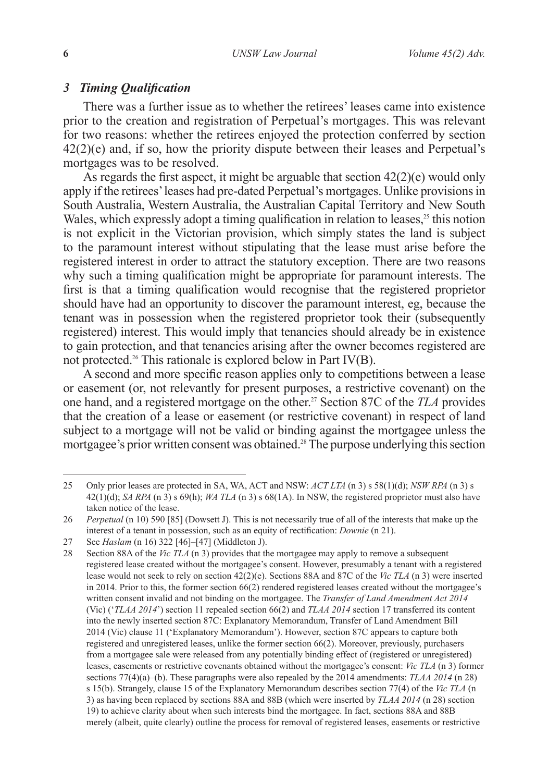## *3 Timing Qualification*

There was a further issue as to whether the retirees' leases came into existence prior to the creation and registration of Perpetual's mortgages. This was relevant for two reasons: whether the retirees enjoyed the protection conferred by section 42(2)(e) and, if so, how the priority dispute between their leases and Perpetual's mortgages was to be resolved.

As regards the first aspect, it might be arguable that section 42(2)(e) would only apply if the retirees' leases had pre-dated Perpetual's mortgages. Unlike provisions in South Australia, Western Australia, the Australian Capital Territory and New South Wales, which expressly adopt a timing qualification in relation to leases.<sup>25</sup> this notion is not explicit in the Victorian provision, which simply states the land is subject to the paramount interest without stipulating that the lease must arise before the registered interest in order to attract the statutory exception. There are two reasons why such a timing qualification might be appropriate for paramount interests. The first is that a timing qualification would recognise that the registered proprietor should have had an opportunity to discover the paramount interest, eg, because the tenant was in possession when the registered proprietor took their (subsequently registered) interest. This would imply that tenancies should already be in existence to gain protection, and that tenancies arising after the owner becomes registered are not protected.<sup>26</sup> This rationale is explored below in Part IV(B).

A second and more specific reason applies only to competitions between a lease or easement (or, not relevantly for present purposes, a restrictive covenant) on the one hand, and a registered mortgage on the other.27 Section 87C of the *TLA* provides that the creation of a lease or easement (or restrictive covenant) in respect of land subject to a mortgage will not be valid or binding against the mortgagee unless the mortgagee's prior written consent was obtained.28 The purpose underlying this section

<sup>25</sup> Only prior leases are protected in SA, WA, ACT and NSW: *ACT LTA* (n 3) s 58(1)(d); *NSW RPA* (n 3) s  $42(1)(d)$ ; *SA RPA* (n 3) s 69(h); *WA TLA* (n 3) s 68(1A). In NSW, the registered proprietor must also have taken notice of the lease.

<sup>26</sup> *Perpetual* (n 10) 590 [85] (Dowsett J). This is not necessarily true of all of the interests that make up the interest of a tenant in possession, such as an equity of rectification: *Downie* (n 21).

<sup>27</sup> See *Haslam* (n 16) 322 [46]–[47] (Middleton J).

<sup>28</sup> Section 88A of the *Vic TLA* (n 3) provides that the mortgagee may apply to remove a subsequent registered lease created without the mortgagee's consent. However, presumably a tenant with a registered lease would not seek to rely on section 42(2)(e). Sections 88A and 87C of the *Vic TLA* (n 3) were inserted in 2014. Prior to this, the former section 66(2) rendered registered leases created without the mortgagee's written consent invalid and not binding on the mortgagee. The *Transfer of Land Amendment Act 2014* (Vic) ('*TLAA 2014*') section 11 repealed section 66(2) and *TLAA 2014* section 17 transferred its content into the newly inserted section 87C: Explanatory Memorandum, Transfer of Land Amendment Bill 2014 (Vic) clause 11 ('Explanatory Memorandum'). However, section 87C appears to capture both registered and unregistered leases, unlike the former section 66(2). Moreover, previously, purchasers from a mortgagee sale were released from any potentially binding effect of (registered or unregistered) leases, easements or restrictive covenants obtained without the mortgagee's consent: *Vic TLA* (n 3) former sections 77(4)(a)–(b). These paragraphs were also repealed by the 2014 amendments: *TLAA 2014* (n 28) s 15(b). Strangely, clause 15 of the Explanatory Memorandum describes section 77(4) of the *Vic TLA* (n 3) as having been replaced by sections 88A and 88B (which were inserted by *TLAA 2014* (n 28) section 19) to achieve clarity about when such interests bind the mortgagee. In fact, sections 88A and 88B merely (albeit, quite clearly) outline the process for removal of registered leases, easements or restrictive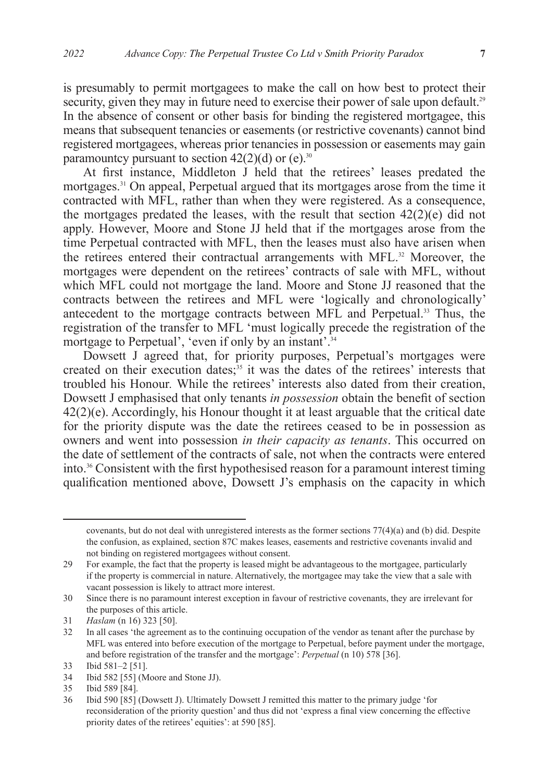is presumably to permit mortgagees to make the call on how best to protect their security, given they may in future need to exercise their power of sale upon default.<sup>29</sup> In the absence of consent or other basis for binding the registered mortgagee, this means that subsequent tenancies or easements (or restrictive covenants) cannot bind registered mortgagees, whereas prior tenancies in possession or easements may gain paramountcy pursuant to section  $42(2)(d)$  or (e).<sup>30</sup>

At first instance, Middleton J held that the retirees' leases predated the mortgages.31 On appeal, Perpetual argued that its mortgages arose from the time it contracted with MFL, rather than when they were registered. As a consequence, the mortgages predated the leases, with the result that section  $42(2)(e)$  did not apply. However, Moore and Stone JJ held that if the mortgages arose from the time Perpetual contracted with MFL, then the leases must also have arisen when the retirees entered their contractual arrangements with MFL.32 Moreover, the mortgages were dependent on the retirees' contracts of sale with MFL, without which MFL could not mortgage the land. Moore and Stone JJ reasoned that the contracts between the retirees and MFL were 'logically and chronologically' antecedent to the mortgage contracts between MFL and Perpetual.33 Thus, the registration of the transfer to MFL 'must logically precede the registration of the mortgage to Perpetual', 'even if only by an instant'.<sup>34</sup>

Dowsett J agreed that, for priority purposes, Perpetual's mortgages were created on their execution dates;<sup>35</sup> it was the dates of the retirees' interests that troubled his Honour*.* While the retirees' interests also dated from their creation, Dowsett J emphasised that only tenants *in possession* obtain the benefit of section  $42(2)(e)$ . Accordingly, his Honour thought it at least arguable that the critical date for the priority dispute was the date the retirees ceased to be in possession as owners and went into possession *in their capacity as tenants*. This occurred on the date of settlement of the contracts of sale, not when the contracts were entered into.36 Consistent with the first hypothesised reason for a paramount interest timing qualification mentioned above, Dowsett J's emphasis on the capacity in which

covenants, but do not deal with unregistered interests as the former sections 77(4)(a) and (b) did. Despite the confusion, as explained, section 87C makes leases, easements and restrictive covenants invalid and not binding on registered mortgagees without consent.

<sup>29</sup> For example, the fact that the property is leased might be advantageous to the mortgagee, particularly if the property is commercial in nature. Alternatively, the mortgagee may take the view that a sale with vacant possession is likely to attract more interest.

<sup>30</sup> Since there is no paramount interest exception in favour of restrictive covenants, they are irrelevant for the purposes of this article.

<sup>31</sup> *Haslam* (n 16) 323 [50].

<sup>32</sup> In all cases 'the agreement as to the continuing occupation of the vendor as tenant after the purchase by MFL was entered into before execution of the mortgage to Perpetual, before payment under the mortgage, and before registration of the transfer and the mortgage': *Perpetual* (n 10) 578 [36].

<sup>33</sup> Ibid 581–2 [51].

<sup>34</sup> Ibid 582 [55] (Moore and Stone JJ).<br>35 Ibid 589 [84].

<sup>35</sup> Ibid 589 [84].

<sup>36</sup> Ibid 590 [85] (Dowsett J). Ultimately Dowsett J remitted this matter to the primary judge 'for reconsideration of the priority question' and thus did not 'express a final view concerning the effective priority dates of the retirees' equities': at 590 [85].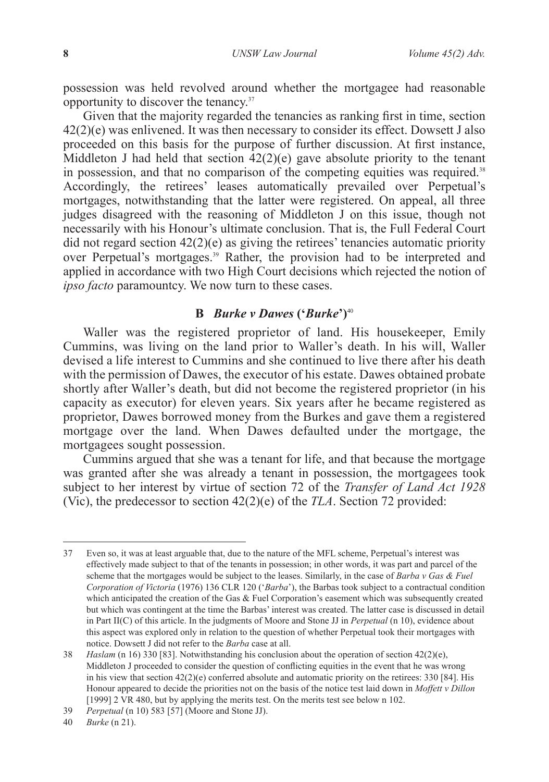possession was held revolved around whether the mortgagee had reasonable opportunity to discover the tenancy. $37$ 

Given that the majority regarded the tenancies as ranking first in time, section 42(2)(e) was enlivened. It was then necessary to consider its effect. Dowsett J also proceeded on this basis for the purpose of further discussion. At first instance, Middleton J had held that section  $42(2)(e)$  gave absolute priority to the tenant in possession, and that no comparison of the competing equities was required.<sup>38</sup> Accordingly, the retirees' leases automatically prevailed over Perpetual's mortgages, notwithstanding that the latter were registered. On appeal, all three judges disagreed with the reasoning of Middleton J on this issue, though not necessarily with his Honour's ultimate conclusion. That is, the Full Federal Court did not regard section  $42(2)(e)$  as giving the retirees' tenancies automatic priority over Perpetual's mortgages.<sup>39</sup> Rather, the provision had to be interpreted and applied in accordance with two High Court decisions which rejected the notion of *ipso facto* paramountcy. We now turn to these cases.

## **B** *Burke v Dawes* **('***Burke***')**<sup>40</sup>

Waller was the registered proprietor of land. His housekeeper, Emily Cummins, was living on the land prior to Waller's death. In his will, Waller devised a life interest to Cummins and she continued to live there after his death with the permission of Dawes, the executor of his estate. Dawes obtained probate shortly after Waller's death, but did not become the registered proprietor (in his capacity as executor) for eleven years. Six years after he became registered as proprietor, Dawes borrowed money from the Burkes and gave them a registered mortgage over the land. When Dawes defaulted under the mortgage, the mortgagees sought possession.

Cummins argued that she was a tenant for life, and that because the mortgage was granted after she was already a tenant in possession, the mortgagees took subject to her interest by virtue of section 72 of the *Transfer of Land Act 1928* (Vic), the predecessor to section 42(2)(e) of the *TLA*. Section 72 provided:

<sup>37</sup> Even so, it was at least arguable that, due to the nature of the MFL scheme, Perpetual's interest was effectively made subject to that of the tenants in possession; in other words, it was part and parcel of the scheme that the mortgages would be subject to the leases. Similarly, in the case of *Barba v Gas & Fuel Corporation of Victoria* (1976) 136 CLR 120 ('*Barba*'), the Barbas took subject to a contractual condition which anticipated the creation of the Gas & Fuel Corporation's easement which was subsequently created but which was contingent at the time the Barbas' interest was created. The latter case is discussed in detail in Part II(C) of this article. In the judgments of Moore and Stone JJ in *Perpetual* (n 10), evidence about this aspect was explored only in relation to the question of whether Perpetual took their mortgages with notice. Dowsett J did not refer to the *Barba* case at all.

<sup>38</sup> *Haslam* (n 16) 330 [83]. Notwithstanding his conclusion about the operation of section 42(2)(e), Middleton J proceeded to consider the question of conflicting equities in the event that he was wrong in his view that section  $42(2)(e)$  conferred absolute and automatic priority on the retirees: 330 [84]. His Honour appeared to decide the priorities not on the basis of the notice test laid down in *Moffett v Dillon* [1999] 2 VR 480, but by applying the merits test. On the merits test see below n 102.

<sup>39</sup> *Perpetual* (n 10) 583 [57] (Moore and Stone JJ).

<sup>40</sup> *Burke* (n 21).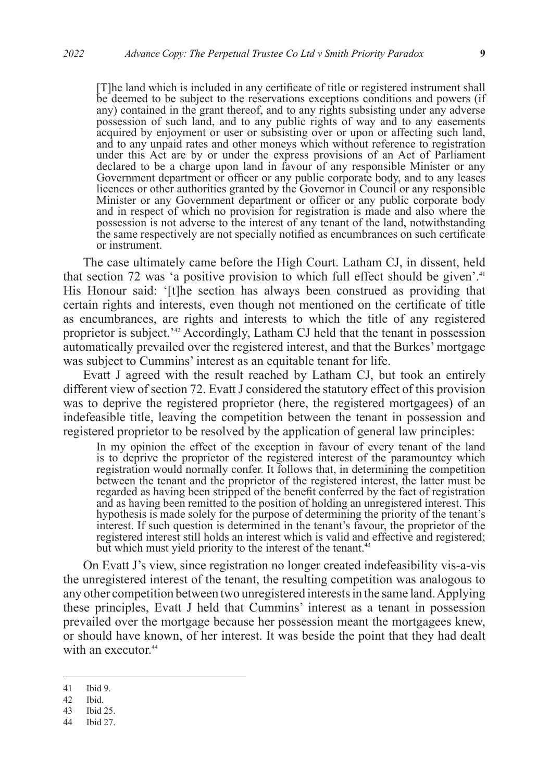[T]he land which is included in any certificate of title or registered instrument shall be deemed to be subject to the reservations exceptions conditions and powers (if any) contained in the grant thereof, and to any rights subsisting under any adverse possession of such land, and to any public rights of way and to any easements acquired by enjoyment or user or subsisting over or upon or affecting such land, and to any unpaid rates and other moneys which without reference to registration under this Act are by or under the express provisions of an Act of Parliament declared to be a charge upon land in favour of any responsible Minister or any Government department or officer or any public corporate body, and to any leases licences or other authorities granted by the Governor in Council or any responsible Minister or any Government department or officer or any public corporate body and in respect of which no provision for registration is made and also where the possession is not adverse to the interest of any tenant of the land, notwithstanding the same respectively are not specially notified as encumbrances on such certificate or instrument.

The case ultimately came before the High Court. Latham CJ, in dissent, held that section 72 was 'a positive provision to which full effect should be given'.41 His Honour said: '[t]he section has always been construed as providing that certain rights and interests, even though not mentioned on the certificate of title as encumbrances, are rights and interests to which the title of any registered proprietor is subject.<sup>242</sup> Accordingly, Latham CJ held that the tenant in possession automatically prevailed over the registered interest, and that the Burkes' mortgage was subject to Cummins' interest as an equitable tenant for life.

Evatt J agreed with the result reached by Latham CJ, but took an entirely different view of section 72. Evatt J considered the statutory effect of this provision was to deprive the registered proprietor (here, the registered mortgagees) of an indefeasible title, leaving the competition between the tenant in possession and registered proprietor to be resolved by the application of general law principles:

In my opinion the effect of the exception in favour of every tenant of the land is to deprive the proprietor of the registered interest of the paramountcy which registration would normally confer. It follows that, in determining the competition between the tenant and the proprietor of the registered interest, the latter must be regarded as having been stripped of the benefit conferred by the fact of registration and as having been remitted to the position of holding an unregistered interest. This hypothesis is made solely for the purpose of determining the priority of the tenant's interest. If such question is determined in the tenant's favour, the proprietor of the registered interest still holds an interest which is valid and effective and registered; but which must yield priority to the interest of the tenant.<sup>43</sup>

On Evatt J's view, since registration no longer created indefeasibility vis-a-vis the unregistered interest of the tenant, the resulting competition was analogous to any other competition between two unregistered interests in the same land. Applying these principles, Evatt J held that Cummins' interest as a tenant in possession prevailed over the mortgage because her possession meant the mortgagees knew, or should have known, of her interest. It was beside the point that they had dealt with an executor.<sup>44</sup>

<sup>41</sup> Ibid 9.

<sup>42</sup> Ibid.

<sup>43</sup> Ibid 25.

<sup>44</sup> Ibid 27.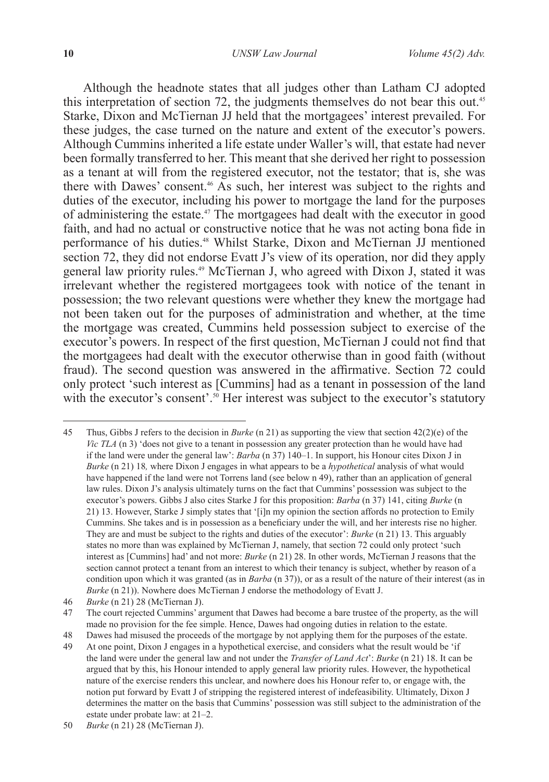Although the headnote states that all judges other than Latham CJ adopted this interpretation of section 72, the judgments themselves do not bear this out.<sup>45</sup> Starke, Dixon and McTiernan JJ held that the mortgagees' interest prevailed. For these judges, the case turned on the nature and extent of the executor's powers. Although Cummins inherited a life estate under Waller's will, that estate had never been formally transferred to her. This meant that she derived her right to possession as a tenant at will from the registered executor, not the testator; that is, she was there with Dawes' consent.46 As such, her interest was subject to the rights and duties of the executor, including his power to mortgage the land for the purposes of administering the estate.47 The mortgagees had dealt with the executor in good faith, and had no actual or constructive notice that he was not acting bona fide in performance of his duties.48 Whilst Starke, Dixon and McTiernan JJ mentioned section 72, they did not endorse Evatt J's view of its operation, nor did they apply general law priority rules.49 McTiernan J, who agreed with Dixon J, stated it was irrelevant whether the registered mortgagees took with notice of the tenant in possession; the two relevant questions were whether they knew the mortgage had not been taken out for the purposes of administration and whether, at the time the mortgage was created, Cummins held possession subject to exercise of the executor's powers. In respect of the first question, McTiernan J could not find that the mortgagees had dealt with the executor otherwise than in good faith (without fraud). The second question was answered in the affirmative. Section 72 could only protect 'such interest as [Cummins] had as a tenant in possession of the land with the executor's consent'.<sup>50</sup> Her interest was subject to the executor's statutory

<sup>45</sup> Thus, Gibbs J refers to the decision in *Burke* (n 21) as supporting the view that section 42(2)(e) of the *Vic TLA* (n 3) 'does not give to a tenant in possession any greater protection than he would have had if the land were under the general law': *Barba* (n 37) 140–1. In support, his Honour cites Dixon J in *Burke* (n 21) 18*,* where Dixon J engages in what appears to be a *hypothetical* analysis of what would have happened if the land were not Torrens land (see below n 49), rather than an application of general law rules. Dixon J's analysis ultimately turns on the fact that Cummins' possession was subject to the executor's powers. Gibbs J also cites Starke J for this proposition: *Barba* (n 37) 141, citing *Burke* (n 21) 13. However, Starke J simply states that '[i]n my opinion the section affords no protection to Emily Cummins. She takes and is in possession as a beneficiary under the will, and her interests rise no higher. They are and must be subject to the rights and duties of the executor': *Burke* (n 21) 13. This arguably states no more than was explained by McTiernan J, namely, that section 72 could only protect 'such interest as [Cummins] had' and not more: *Burke* (n 21) 28. In other words, McTiernan J reasons that the section cannot protect a tenant from an interest to which their tenancy is subject, whether by reason of a condition upon which it was granted (as in *Barba* (n 37)), or as a result of the nature of their interest (as in *Burke* (n 21)). Nowhere does McTiernan J endorse the methodology of Evatt J.

<sup>46</sup> *Burke* (n 21) 28 (McTiernan J).<br>47 The court rejected Cummins' at

<sup>47</sup> The court rejected Cummins' argument that Dawes had become a bare trustee of the property, as the will made no provision for the fee simple. Hence, Dawes had ongoing duties in relation to the estate.

<sup>48</sup> Dawes had misused the proceeds of the mortgage by not applying them for the purposes of the estate.

<sup>49</sup> At one point, Dixon J engages in a hypothetical exercise, and considers what the result would be 'if the land were under the general law and not under the *Transfer of Land Act*': *Burke* (n 21) 18. It can be argued that by this, his Honour intended to apply general law priority rules. However, the hypothetical nature of the exercise renders this unclear, and nowhere does his Honour refer to, or engage with, the notion put forward by Evatt J of stripping the registered interest of indefeasibility. Ultimately, Dixon J determines the matter on the basis that Cummins' possession was still subject to the administration of the estate under probate law: at 21–2.

<sup>50</sup> *Burke* (n 21) 28 (McTiernan J).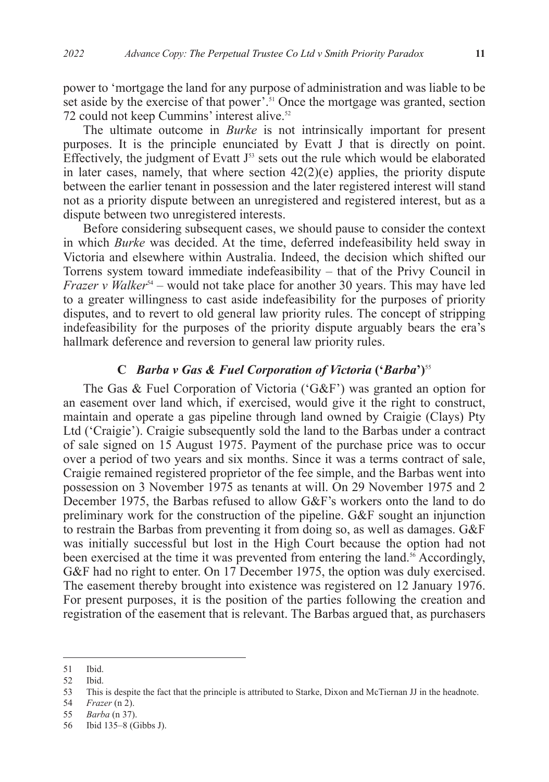power to 'mortgage the land for any purpose of administration and was liable to be set aside by the exercise of that power'.<sup>51</sup> Once the mortgage was granted, section 72 could not keep Cummins' interest alive.<sup>52</sup>

The ultimate outcome in *Burke* is not intrinsically important for present purposes. It is the principle enunciated by Evatt J that is directly on point. Effectively, the judgment of Evatt  $J<sup>53</sup>$  sets out the rule which would be elaborated in later cases, namely, that where section  $42(2)(e)$  applies, the priority dispute between the earlier tenant in possession and the later registered interest will stand not as a priority dispute between an unregistered and registered interest, but as a dispute between two unregistered interests.

Before considering subsequent cases, we should pause to consider the context in which *Burke* was decided. At the time, deferred indefeasibility held sway in Victoria and elsewhere within Australia. Indeed, the decision which shifted our Torrens system toward immediate indefeasibility – that of the Privy Council in *Frazer v Walker*<sup>54</sup> – would not take place for another 30 years. This may have led to a greater willingness to cast aside indefeasibility for the purposes of priority disputes, and to revert to old general law priority rules. The concept of stripping indefeasibility for the purposes of the priority dispute arguably bears the era's hallmark deference and reversion to general law priority rules.

### **C** *Barba v Gas & Fuel Corporation of Victoria* **('***Barba***')**<sup>55</sup>

The Gas & Fuel Corporation of Victoria ('G&F') was granted an option for an easement over land which, if exercised, would give it the right to construct, maintain and operate a gas pipeline through land owned by Craigie (Clays) Pty Ltd ('Craigie'). Craigie subsequently sold the land to the Barbas under a contract of sale signed on 15 August 1975. Payment of the purchase price was to occur over a period of two years and six months. Since it was a terms contract of sale, Craigie remained registered proprietor of the fee simple, and the Barbas went into possession on 3 November 1975 as tenants at will. On 29 November 1975 and 2 December 1975, the Barbas refused to allow G&F's workers onto the land to do preliminary work for the construction of the pipeline. G&F sought an injunction to restrain the Barbas from preventing it from doing so, as well as damages. G&F was initially successful but lost in the High Court because the option had not been exercised at the time it was prevented from entering the land.<sup>56</sup> Accordingly, G&F had no right to enter. On 17 December 1975, the option was duly exercised. The easement thereby brought into existence was registered on 12 January 1976. For present purposes, it is the position of the parties following the creation and registration of the easement that is relevant. The Barbas argued that, as purchasers

<sup>51</sup> Ibid.

<sup>52</sup> Ibid.

<sup>53</sup> This is despite the fact that the principle is attributed to Starke, Dixon and McTiernan JJ in the headnote.

<sup>54</sup> *Frazer* (n 2).

<sup>55</sup> *Barba* (n 37).

<sup>56</sup> Ibid 135–8 (Gibbs J).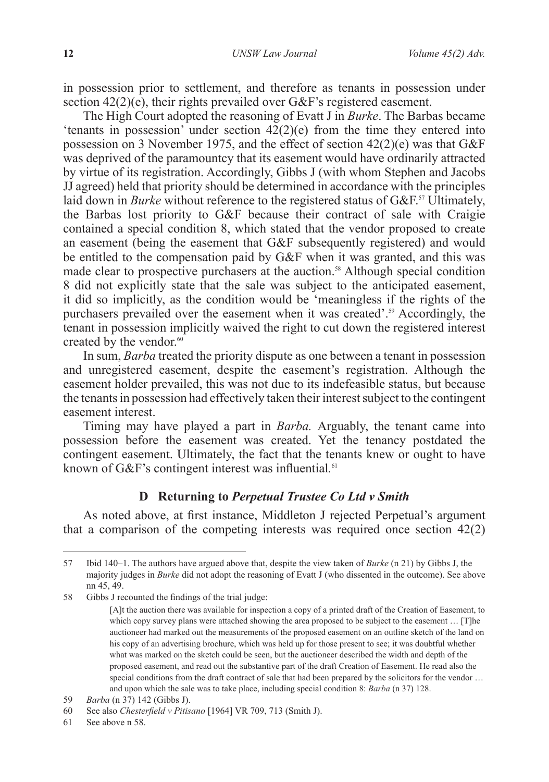in possession prior to settlement, and therefore as tenants in possession under section  $42(2)(e)$ , their rights prevailed over G&F's registered easement.

The High Court adopted the reasoning of Evatt J in *Burke*. The Barbas became 'tenants in possession' under section  $42(2)(e)$  from the time they entered into possession on 3 November 1975, and the effect of section  $42(2)(e)$  was that G&F was deprived of the paramountcy that its easement would have ordinarily attracted by virtue of its registration. Accordingly, Gibbs J (with whom Stephen and Jacobs JJ agreed) held that priority should be determined in accordance with the principles laid down in *Burke* without reference to the registered status of G&F.<sup>57</sup> Ultimately, the Barbas lost priority to G&F because their contract of sale with Craigie contained a special condition 8, which stated that the vendor proposed to create an easement (being the easement that G&F subsequently registered) and would be entitled to the compensation paid by G&F when it was granted, and this was made clear to prospective purchasers at the auction.<sup>58</sup> Although special condition 8 did not explicitly state that the sale was subject to the anticipated easement, it did so implicitly, as the condition would be 'meaningless if the rights of the purchasers prevailed over the easement when it was created'.<sup>59</sup> Accordingly, the tenant in possession implicitly waived the right to cut down the registered interest created by the vendor.<sup>60</sup>

In sum, *Barba* treated the priority dispute as one between a tenant in possession and unregistered easement, despite the easement's registration. Although the easement holder prevailed, this was not due to its indefeasible status, but because the tenants in possession had effectively taken their interest subject to the contingent easement interest.

Timing may have played a part in *Barba.* Arguably, the tenant came into possession before the easement was created. Yet the tenancy postdated the contingent easement. Ultimately, the fact that the tenants knew or ought to have known of G&F's contingent interest was influential*.* 61

## **D Returning to** *Perpetual Trustee Co Ltd v Smith*

As noted above, at first instance, Middleton J rejected Perpetual's argument that a comparison of the competing interests was required once section  $42(2)$ 

<sup>57</sup> Ibid 140–1. The authors have argued above that, despite the view taken of *Burke* (n 21) by Gibbs J, the majority judges in *Burke* did not adopt the reasoning of Evatt J (who dissented in the outcome). See above nn 45, 49.

<sup>58</sup> Gibbs J recounted the findings of the trial judge:

<sup>[</sup>A]t the auction there was available for inspection a copy of a printed draft of the Creation of Easement, to which copy survey plans were attached showing the area proposed to be subject to the easement ... [T]he auctioneer had marked out the measurements of the proposed easement on an outline sketch of the land on his copy of an advertising brochure, which was held up for those present to see; it was doubtful whether what was marked on the sketch could be seen, but the auctioneer described the width and depth of the proposed easement, and read out the substantive part of the draft Creation of Easement. He read also the special conditions from the draft contract of sale that had been prepared by the solicitors for the vendor ... and upon which the sale was to take place, including special condition 8: *Barba* (n 37) 128.

<sup>59</sup> *Barba* (n 37) 142 (Gibbs J).

<sup>60</sup> See also *Chesterfield v Pitisano* [1964] VR 709, 713 (Smith J).

<sup>61</sup> See above n 58.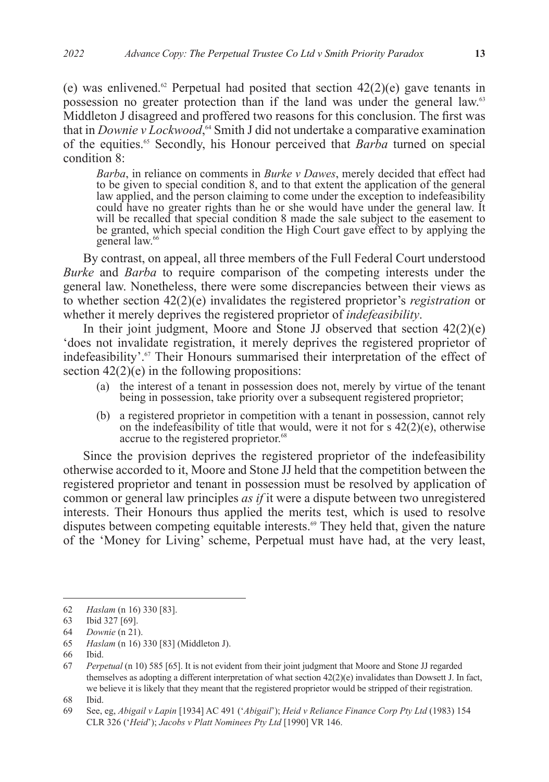(e) was enlivened.<sup>62</sup> Perpetual had posited that section  $42(2)(e)$  gave tenants in possession no greater protection than if the land was under the general law.63 Middleton J disagreed and proffered two reasons for this conclusion. The first was that in *Downie v Lockwood*, <sup>64</sup> Smith J did not undertake a comparative examination of the equities.65 Secondly, his Honour perceived that *Barba* turned on special condition 8:

*Barba*, in reliance on comments in *Burke v Dawes*, merely decided that effect had to be given to special condition 8, and to that extent the application of the general law applied, and the person claiming to come under the exception to indefeasibility could have no greater rights than he or she would have under the general law. It will be recalled that special condition 8 made the sale subject to the easement to be granted, which special condition the High Court gave effect to by applying the general law.<sup>66</sup>

By contrast, on appeal, all three members of the Full Federal Court understood *Burke* and *Barba* to require comparison of the competing interests under the general law. Nonetheless, there were some discrepancies between their views as to whether section 42(2)(e) invalidates the registered proprietor's *registration* or whether it merely deprives the registered proprietor of *indefeasibility*.

In their joint judgment, Moore and Stone JJ observed that section 42(2)(e) 'does not invalidate registration, it merely deprives the registered proprietor of indefeasibility'.67 Their Honours summarised their interpretation of the effect of section  $42(2)(e)$  in the following propositions:

- (a) the interest of a tenant in possession does not, merely by virtue of the tenant being in possession, take priority over a subsequent registered proprietor;
- (b) a registered proprietor in competition with a tenant in possession, cannot rely on the indefeasibility of title that would, were it not for s  $42(2)(e)$ , otherwise accrue to the registered proprietor.<sup>68</sup>

Since the provision deprives the registered proprietor of the indefeasibility otherwise accorded to it, Moore and Stone JJ held that the competition between the registered proprietor and tenant in possession must be resolved by application of common or general law principles *as if* it were a dispute between two unregistered interests. Their Honours thus applied the merits test, which is used to resolve disputes between competing equitable interests.<sup>69</sup> They held that, given the nature of the 'Money for Living' scheme, Perpetual must have had, at the very least,

<sup>62</sup> *Haslam* (n 16) 330 [83].

<sup>63</sup> Ibid 327 [69].

<sup>64</sup> *Downie* (n 21).

<sup>65</sup> *Haslam* (n 16) 330 [83] (Middleton J).

<sup>66</sup> Ibid.

<sup>67</sup> *Perpetual* (n 10) 585 [65]. It is not evident from their joint judgment that Moore and Stone JJ regarded themselves as adopting a different interpretation of what section 42(2)(e) invalidates than Dowsett J. In fact, we believe it is likely that they meant that the registered proprietor would be stripped of their registration. 68 Ibid.

<sup>69</sup> See, eg, *Abigail v Lapin* [1934] AC 491 ('*Abigail*'); *Heid v Reliance Finance Corp Pty Ltd* (1983) 154 CLR 326 ('*Heid*'); *Jacobs v Platt Nominees Pty Ltd* [1990] VR 146.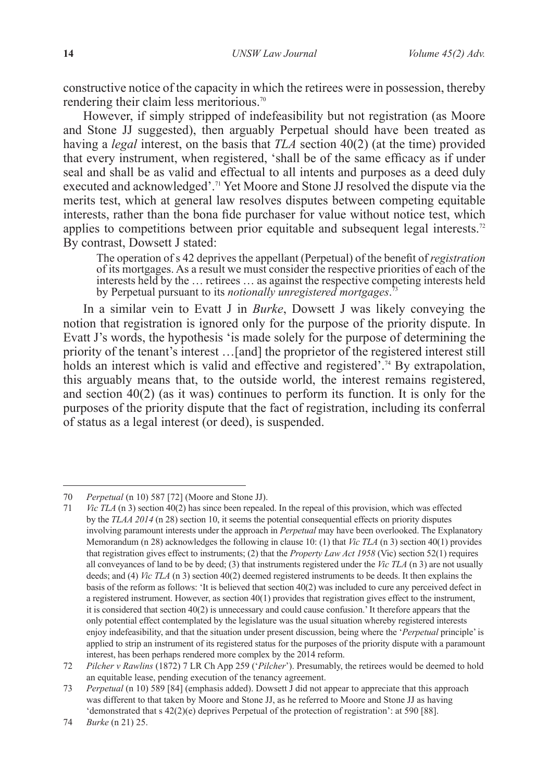constructive notice of the capacity in which the retirees were in possession, thereby rendering their claim less meritorious.<sup>70</sup>

However, if simply stripped of indefeasibility but not registration (as Moore and Stone JJ suggested), then arguably Perpetual should have been treated as having a *legal* interest, on the basis that *TLA* section 40(2) (at the time) provided that every instrument, when registered, 'shall be of the same efficacy as if under seal and shall be as valid and effectual to all intents and purposes as a deed duly executed and acknowledged'.71 Yet Moore and Stone JJ resolved the dispute via the merits test, which at general law resolves disputes between competing equitable interests, rather than the bona fide purchaser for value without notice test, which applies to competitions between prior equitable and subsequent legal interests.<sup>72</sup> By contrast, Dowsett J stated:

The operation of s 42 deprives the appellant (Perpetual) of the benefit of *registration*  of its mortgages. As a result we must consider the respective priorities of each of the interests held by the … retirees … as against the respective competing interests held by Perpetual pursuant to its *notionally unregistered mortgages*. 73

In a similar vein to Evatt J in *Burke*, Dowsett J was likely conveying the notion that registration is ignored only for the purpose of the priority dispute. In Evatt J's words, the hypothesis 'is made solely for the purpose of determining the priority of the tenant's interest …[and] the proprietor of the registered interest still holds an interest which is valid and effective and registered'.<sup>74</sup> By extrapolation, this arguably means that, to the outside world, the interest remains registered, and section  $40(2)$  (as it was) continues to perform its function. It is only for the purposes of the priority dispute that the fact of registration, including its conferral of status as a legal interest (or deed), is suspended.

<sup>70</sup> *Perpetual* (n 10) 587 [72] (Moore and Stone JJ).

<sup>71</sup> *Vic TLA* (n 3) section 40(2) has since been repealed. In the repeal of this provision, which was effected by the *TLAA 2014* (n 28) section 10, it seems the potential consequential effects on priority disputes involving paramount interests under the approach in *Perpetual* may have been overlooked. The Explanatory Memorandum (n 28) acknowledges the following in clause 10: (1) that *Vic TLA* (n 3) section 40(1) provides that registration gives effect to instruments; (2) that the *Property Law Act 1958* (Vic) section 52(1) requires all conveyances of land to be by deed; (3) that instruments registered under the *Vic TLA* (n 3) are not usually deeds; and (4) *Vic TLA* (n 3) section 40(2) deemed registered instruments to be deeds. It then explains the basis of the reform as follows: 'It is believed that section 40(2) was included to cure any perceived defect in a registered instrument. However, as section 40(1) provides that registration gives effect to the instrument, it is considered that section 40(2) is unnecessary and could cause confusion.' It therefore appears that the only potential effect contemplated by the legislature was the usual situation whereby registered interests enjoy indefeasibility, and that the situation under present discussion, being where the '*Perpetual* principle' is applied to strip an instrument of its registered status for the purposes of the priority dispute with a paramount interest, has been perhaps rendered more complex by the 2014 reform.

<sup>72</sup> *Pilcher v Rawlins* (1872) 7 LR Ch App 259 ('*Pilcher*'). Presumably, the retirees would be deemed to hold an equitable lease, pending execution of the tenancy agreement.

<sup>73</sup> *Perpetual* (n 10) 589 [84] (emphasis added). Dowsett J did not appear to appreciate that this approach was different to that taken by Moore and Stone JJ, as he referred to Moore and Stone JJ as having 'demonstrated that  $s$  42(2)(e) deprives Perpetual of the protection of registration': at 590 [88].

<sup>74</sup> *Burke* (n 21) 25.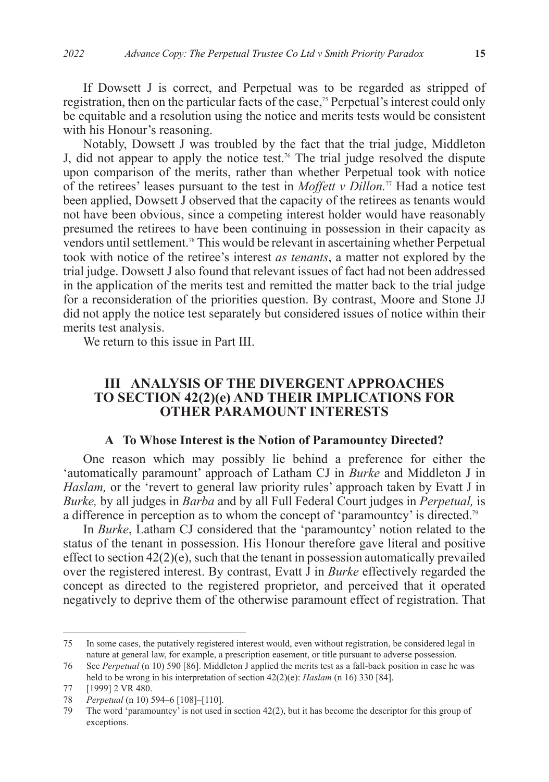If Dowsett J is correct, and Perpetual was to be regarded as stripped of registration, then on the particular facts of the case,<sup>75</sup> Perpetual's interest could only be equitable and a resolution using the notice and merits tests would be consistent with his Honour's reasoning.

Notably, Dowsett J was troubled by the fact that the trial judge, Middleton J, did not appear to apply the notice test.76 The trial judge resolved the dispute upon comparison of the merits, rather than whether Perpetual took with notice of the retirees' leases pursuant to the test in *Moffett v Dillon.*77 Had a notice test been applied, Dowsett J observed that the capacity of the retirees as tenants would not have been obvious, since a competing interest holder would have reasonably presumed the retirees to have been continuing in possession in their capacity as vendors until settlement.78 This would be relevant in ascertaining whether Perpetual took with notice of the retiree's interest *as tenants*, a matter not explored by the trial judge. Dowsett J also found that relevant issues of fact had not been addressed in the application of the merits test and remitted the matter back to the trial judge for a reconsideration of the priorities question. By contrast, Moore and Stone JJ did not apply the notice test separately but considered issues of notice within their merits test analysis.

We return to this issue in Part III.

## **III ANALYSIS OF THE DIVERGENT APPROACHES TO SECTION 42(2)(e) AND THEIR IMPLICATIONS FOR OTHER PARAMOUNT INTERESTS**

## **A To Whose Interest is the Notion of Paramountcy Directed?**

One reason which may possibly lie behind a preference for either the 'automatically paramount' approach of Latham CJ in *Burke* and Middleton J in *Haslam*, or the 'revert to general law priority rules' approach taken by Evatt J in *Burke,* by all judges in *Barba* and by all Full Federal Court judges in *Perpetual,* is a difference in perception as to whom the concept of 'paramountcy' is directed.<sup>79</sup>

In *Burke*, Latham CJ considered that the 'paramountcy' notion related to the status of the tenant in possession. His Honour therefore gave literal and positive effect to section  $42(2)(e)$ , such that the tenant in possession automatically prevailed over the registered interest. By contrast, Evatt J in *Burke* effectively regarded the concept as directed to the registered proprietor, and perceived that it operated negatively to deprive them of the otherwise paramount effect of registration. That

<sup>75</sup> In some cases, the putatively registered interest would, even without registration, be considered legal in nature at general law, for example, a prescription easement, or title pursuant to adverse possession.

<sup>76</sup> See *Perpetual* (n 10) 590 [86]. Middleton J applied the merits test as a fall-back position in case he was held to be wrong in his interpretation of section 42(2)(e): *Haslam* (n 16) 330 [84].

<sup>77</sup> [1999] 2 VR 480.

<sup>78</sup> *Perpetual* (n 10) 594–6 [108]–[110].

<sup>79</sup> The word 'paramountcy' is not used in section 42(2), but it has become the descriptor for this group of exceptions.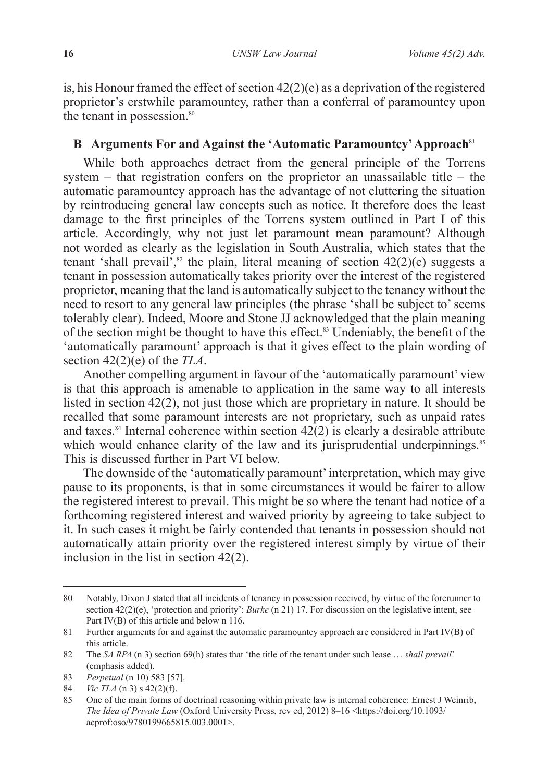is, his Honour framed the effect of section  $42(2)(e)$  as a deprivation of the registered proprietor's erstwhile paramountcy, rather than a conferral of paramountcy upon the tenant in possession.<sup>80</sup>

### **B Arguments For and Against the 'Automatic Paramountcy' Approach**<sup>81</sup>

While both approaches detract from the general principle of the Torrens system – that registration confers on the proprietor an unassailable title – the automatic paramountcy approach has the advantage of not cluttering the situation by reintroducing general law concepts such as notice. It therefore does the least damage to the first principles of the Torrens system outlined in Part I of this article. Accordingly, why not just let paramount mean paramount? Although not worded as clearly as the legislation in South Australia, which states that the tenant 'shall prevail',<sup>82</sup> the plain, literal meaning of section  $42(2)(e)$  suggests a tenant in possession automatically takes priority over the interest of the registered proprietor, meaning that the land is automatically subject to the tenancy without the need to resort to any general law principles (the phrase 'shall be subject to' seems tolerably clear). Indeed, Moore and Stone JJ acknowledged that the plain meaning of the section might be thought to have this effect.83 Undeniably, the benefit of the 'automatically paramount' approach is that it gives effect to the plain wording of section 42(2)(e) of the *TLA*.

Another compelling argument in favour of the 'automatically paramount' view is that this approach is amenable to application in the same way to all interests listed in section 42(2), not just those which are proprietary in nature. It should be recalled that some paramount interests are not proprietary, such as unpaid rates and taxes.<sup>84</sup> Internal coherence within section  $42(2)$  is clearly a desirable attribute which would enhance clarity of the law and its jurisprudential underpinnings.<sup>85</sup> This is discussed further in Part VI below.

The downside of the 'automatically paramount' interpretation, which may give pause to its proponents, is that in some circumstances it would be fairer to allow the registered interest to prevail. This might be so where the tenant had notice of a forthcoming registered interest and waived priority by agreeing to take subject to it. In such cases it might be fairly contended that tenants in possession should not automatically attain priority over the registered interest simply by virtue of their inclusion in the list in section 42(2).

<sup>80</sup> Notably, Dixon J stated that all incidents of tenancy in possession received, by virtue of the forerunner to section 42(2)(e), 'protection and priority': *Burke* (n 21) 17. For discussion on the legislative intent, see Part IV(B) of this article and below n 116.

<sup>81</sup> Further arguments for and against the automatic paramountcy approach are considered in Part IV(B) of this article.

<sup>82</sup> The *SA RPA* (n 3) section 69(h) states that 'the title of the tenant under such lease … *shall prevail*' (emphasis added).

<sup>83</sup> *Perpetual* (n 10) 583 [57].

<sup>84</sup> *Vic TLA* (n 3) s 42(2)(f).

<sup>85</sup> One of the main forms of doctrinal reasoning within private law is internal coherence: Ernest J Weinrib, *The Idea of Private Law* (Oxford University Press, rev ed, 2012) 8–16 <https://doi.org/10.1093/ acprof:oso/9780199665815.003.0001>.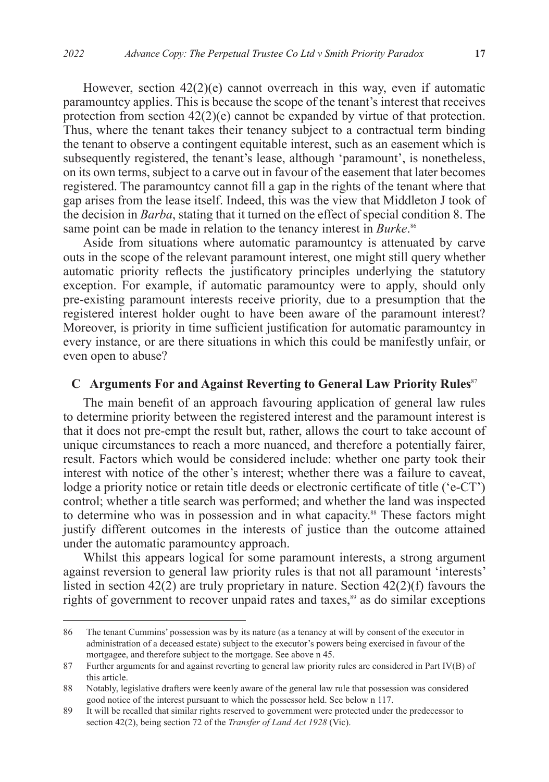However, section  $42(2)(e)$  cannot overreach in this way, even if automatic paramountcy applies. This is because the scope of the tenant's interest that receives protection from section 42(2)(e) cannot be expanded by virtue of that protection. Thus, where the tenant takes their tenancy subject to a contractual term binding the tenant to observe a contingent equitable interest, such as an easement which is subsequently registered, the tenant's lease, although 'paramount', is nonetheless, on its own terms, subject to a carve out in favour of the easement that later becomes registered. The paramountcy cannot fill a gap in the rights of the tenant where that gap arises from the lease itself. Indeed, this was the view that Middleton J took of the decision in *Barba*, stating that it turned on the effect of special condition 8. The same point can be made in relation to the tenancy interest in *Burke*.<sup>86</sup>

Aside from situations where automatic paramountcy is attenuated by carve outs in the scope of the relevant paramount interest, one might still query whether automatic priority reflects the justificatory principles underlying the statutory exception. For example, if automatic paramountcy were to apply, should only pre-existing paramount interests receive priority, due to a presumption that the registered interest holder ought to have been aware of the paramount interest? Moreover, is priority in time sufficient justification for automatic paramountcy in every instance, or are there situations in which this could be manifestly unfair, or even open to abuse?

#### **C Arguments For and Against Reverting to General Law Priority Rules**<sup>87</sup>

The main benefit of an approach favouring application of general law rules to determine priority between the registered interest and the paramount interest is that it does not pre-empt the result but, rather, allows the court to take account of unique circumstances to reach a more nuanced, and therefore a potentially fairer, result. Factors which would be considered include: whether one party took their interest with notice of the other's interest; whether there was a failure to caveat, lodge a priority notice or retain title deeds or electronic certificate of title ('e-CT') control; whether a title search was performed; and whether the land was inspected to determine who was in possession and in what capacity.<sup>88</sup> These factors might justify different outcomes in the interests of justice than the outcome attained under the automatic paramountcy approach.

Whilst this appears logical for some paramount interests, a strong argument against reversion to general law priority rules is that not all paramount 'interests' listed in section  $42(2)$  are truly proprietary in nature. Section  $42(2)(f)$  favours the rights of government to recover unpaid rates and taxes,<sup>89</sup> as do similar exceptions

<sup>86</sup> The tenant Cummins' possession was by its nature (as a tenancy at will by consent of the executor in administration of a deceased estate) subject to the executor's powers being exercised in favour of the mortgagee, and therefore subject to the mortgage. See above n 45.

<sup>87</sup> Further arguments for and against reverting to general law priority rules are considered in Part IV(B) of this article.

<sup>88</sup> Notably, legislative drafters were keenly aware of the general law rule that possession was considered good notice of the interest pursuant to which the possessor held. See below n 117.

<sup>89</sup> It will be recalled that similar rights reserved to government were protected under the predecessor to section 42(2), being section 72 of the *Transfer of Land Act 1928* (Vic).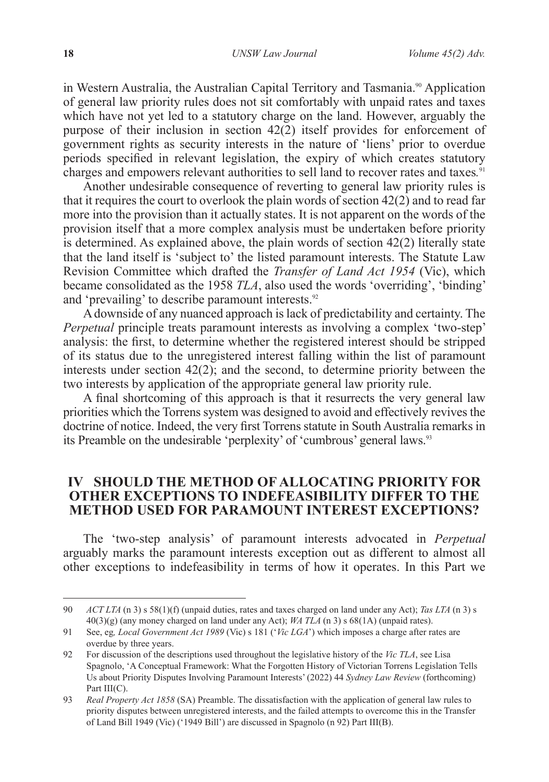in Western Australia, the Australian Capital Territory and Tasmania.<sup>90</sup> Application of general law priority rules does not sit comfortably with unpaid rates and taxes which have not yet led to a statutory charge on the land. However, arguably the purpose of their inclusion in section  $42(2)$  itself provides for enforcement of government rights as security interests in the nature of 'liens' prior to overdue periods specified in relevant legislation, the expiry of which creates statutory charges and empowers relevant authorities to sell land to recover rates and taxes*.* 91

Another undesirable consequence of reverting to general law priority rules is that it requires the court to overlook the plain words of section  $42(2)$  and to read far more into the provision than it actually states. It is not apparent on the words of the provision itself that a more complex analysis must be undertaken before priority is determined. As explained above, the plain words of section 42(2) literally state that the land itself is 'subject to' the listed paramount interests. The Statute Law Revision Committee which drafted the *Transfer of Land Act 1954* (Vic), which became consolidated as the 1958 *TLA*, also used the words 'overriding', 'binding' and 'prevailing' to describe paramount interests.<sup>92</sup>

A downside of any nuanced approach is lack of predictability and certainty. The *Perpetual* principle treats paramount interests as involving a complex 'two-step' analysis: the first, to determine whether the registered interest should be stripped of its status due to the unregistered interest falling within the list of paramount interests under section 42(2); and the second, to determine priority between the two interests by application of the appropriate general law priority rule.

A final shortcoming of this approach is that it resurrects the very general law priorities which the Torrens system was designed to avoid and effectively revives the doctrine of notice. Indeed, the very first Torrens statute in South Australia remarks in its Preamble on the undesirable 'perplexity' of 'cumbrous' general laws.<sup>93</sup>

## **IV SHOULD THE METHOD OF ALLOCATING PRIORITY FOR OTHER EXCEPTIONS TO INDEFEASIBILITY DIFFER TO THE METHOD USED FOR PARAMOUNT INTEREST EXCEPTIONS?**

The 'two-step analysis' of paramount interests advocated in *Perpetual*  arguably marks the paramount interests exception out as different to almost all other exceptions to indefeasibility in terms of how it operates. In this Part we

<sup>90</sup> *ACT LTA* (n 3) s 58(1)(f) (unpaid duties, rates and taxes charged on land under any Act); *Tas LTA* (n 3) s 40(3)(g) (any money charged on land under any Act); *WA TLA* (n 3) s 68(1A) (unpaid rates).

<sup>91</sup> See, eg*, Local Government Act 1989* (Vic) s 181 ('*Vic LGA*') which imposes a charge after rates are overdue by three years.

<sup>92</sup> For discussion of the descriptions used throughout the legislative history of the *Vic TLA*, see Lisa Spagnolo, 'A Conceptual Framework: What the Forgotten History of Victorian Torrens Legislation Tells Us about Priority Disputes Involving Paramount Interests' (2022) 44 *Sydney Law Review* (forthcoming) Part III(C).

<sup>93</sup> *Real Property Act 1858* (SA) Preamble. The dissatisfaction with the application of general law rules to priority disputes between unregistered interests, and the failed attempts to overcome this in the Transfer of Land Bill 1949 (Vic) ('1949 Bill') are discussed in Spagnolo (n 92) Part III(B).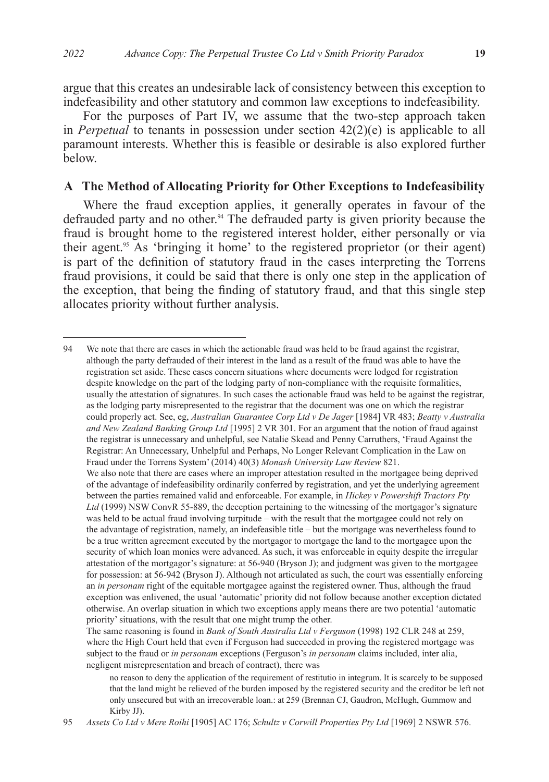argue that this creates an undesirable lack of consistency between this exception to indefeasibility and other statutory and common law exceptions to indefeasibility.

For the purposes of Part IV, we assume that the two-step approach taken in *Perpetual* to tenants in possession under section 42(2)(e) is applicable to all paramount interests. Whether this is feasible or desirable is also explored further below.

## **A The Method of Allocating Priority for Other Exceptions to Indefeasibility**

Where the fraud exception applies, it generally operates in favour of the defrauded party and no other.<sup>94</sup> The defrauded party is given priority because the fraud is brought home to the registered interest holder, either personally or via their agent.95 As 'bringing it home' to the registered proprietor (or their agent) is part of the definition of statutory fraud in the cases interpreting the Torrens fraud provisions, it could be said that there is only one step in the application of the exception, that being the finding of statutory fraud, and that this single step allocates priority without further analysis.

94 We note that there are cases in which the actionable fraud was held to be fraud against the registrar, although the party defrauded of their interest in the land as a result of the fraud was able to have the registration set aside. These cases concern situations where documents were lodged for registration despite knowledge on the part of the lodging party of non-compliance with the requisite formalities, usually the attestation of signatures. In such cases the actionable fraud was held to be against the registrar, as the lodging party misrepresented to the registrar that the document was one on which the registrar could properly act. See, eg, *Australian Guarantee Corp Ltd v De Jager* [1984] VR 483; *Beatty v Australia and New Zealand Banking Group Ltd* [1995] 2 VR 301. For an argument that the notion of fraud against the registrar is unnecessary and unhelpful, see Natalie Skead and Penny Carruthers, 'Fraud Against the Registrar: An Unnecessary, Unhelpful and Perhaps, No Longer Relevant Complication in the Law on Fraud under the Torrens System' (2014) 40(3) *Monash University Law Review* 821. We also note that there are cases where an improper attestation resulted in the mortgagee being deprived of the advantage of indefeasibility ordinarily conferred by registration, and yet the underlying agreement between the parties remained valid and enforceable. For example, in *Hickey v Powershift Tractors Pty*  Ltd (1999) NSW ConvR 55-889, the deception pertaining to the witnessing of the mortgagor's signature was held to be actual fraud involving turpitude – with the result that the mortgagee could not rely on the advantage of registration, namely, an indefeasible title – but the mortgage was nevertheless found to be a true written agreement executed by the mortgagor to mortgage the land to the mortgagee upon the security of which loan monies were advanced. As such, it was enforceable in equity despite the irregular attestation of the mortgagor's signature: at 56-940 (Bryson J); and judgment was given to the mortgagee for possession: at 56-942 (Bryson J). Although not articulated as such, the court was essentially enforcing an *in personam* right of the equitable mortgagee against the registered owner. Thus, although the fraud exception was enlivened, the usual 'automatic' priority did not follow because another exception dictated otherwise. An overlap situation in which two exceptions apply means there are two potential 'automatic priority' situations, with the result that one might trump the other.

The same reasoning is found in *Bank of South Australia Ltd v Ferguson* (1998) 192 CLR 248 at 259, where the High Court held that even if Ferguson had succeeded in proving the registered mortgage was subject to the fraud or *in personam* exceptions (Ferguson's *in personam* claims included, inter alia, negligent misrepresentation and breach of contract), there was

95 *Assets Co Ltd v Mere Roihi* [1905] AC 176; *Schultz v Corwill Properties Pty Ltd* [1969] 2 NSWR 576.

no reason to deny the application of the requirement of restitutio in integrum. It is scarcely to be supposed that the land might be relieved of the burden imposed by the registered security and the creditor be left not only unsecured but with an irrecoverable loan.: at 259 (Brennan CJ, Gaudron, McHugh, Gummow and Kirby JJ).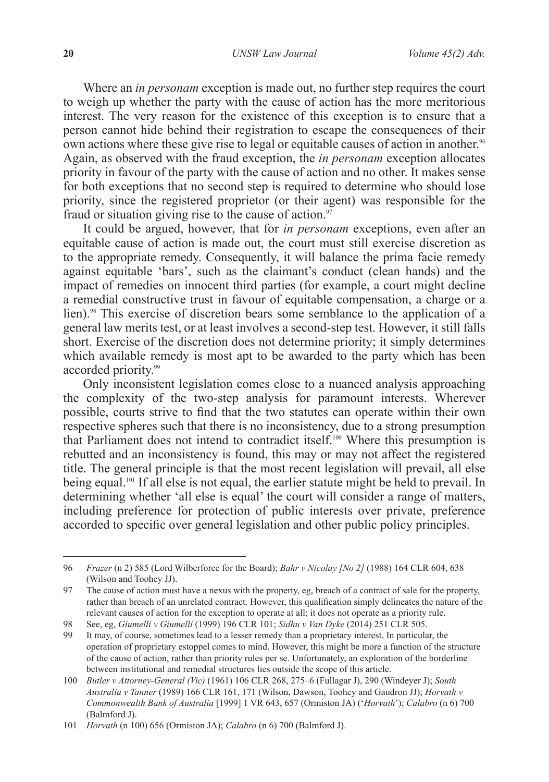Where an *in personam* exception is made out, no further step requires the court to weigh up whether the party with the cause of action has the more meritorious interest. The very reason for the existence of this exception is to ensure that a person cannot hide behind their registration to escape the consequences of their own actions where these give rise to legal or equitable causes of action in another.<sup>96</sup> Again, as observed with the fraud exception, the *in personam* exception allocates priority in favour of the party with the cause of action and no other. It makes sense for both exceptions that no second step is required to determine who should lose priority, since the registered proprietor (or their agent) was responsible for the fraud or situation giving rise to the cause of action. $97$ 

It could be argued, however, that for *in personam* exceptions, even after an equitable cause of action is made out, the court must still exercise discretion as to the appropriate remedy. Consequently, it will balance the prima facie remedy against equitable 'bars', such as the claimant's conduct (clean hands) and the impact of remedies on innocent third parties (for example, a court might decline a remedial constructive trust in favour of equitable compensation, a charge or a lien).<sup>98</sup> This exercise of discretion bears some semblance to the application of a general law merits test, or at least involves a second-step test. However, it still falls short. Exercise of the discretion does not determine priority; it simply determines which available remedy is most apt to be awarded to the party which has been accorded priority.99

Only inconsistent legislation comes close to a nuanced analysis approaching the complexity of the two-step analysis for paramount interests. Wherever possible, courts strive to find that the two statutes can operate within their own respective spheres such that there is no inconsistency, due to a strong presumption that Parliament does not intend to contradict itself.100 Where this presumption is rebutted and an inconsistency is found, this may or may not affect the registered title. The general principle is that the most recent legislation will prevail, all else being equal.<sup>101</sup> If all else is not equal, the earlier statute might be held to prevail. In determining whether 'all else is equal' the court will consider a range of matters, including preference for protection of public interests over private, preference accorded to specific over general legislation and other public policy principles.

<sup>96</sup> *Frazer* (n 2) 585 (Lord Wilberforce for the Board); *Bahr v Nicolay [No 2]* (1988) 164 CLR 604, 638 (Wilson and Toohey JJ).

<sup>97</sup> The cause of action must have a nexus with the property, eg, breach of a contract of sale for the property, rather than breach of an unrelated contract. However, this qualification simply delineates the nature of the relevant causes of action for the exception to operate at all; it does not operate as a priority rule.

<sup>98</sup> See, eg, *Giumelli v Giumelli* (1999) 196 CLR 101; *Sidhu v Van Dyke* (2014) 251 CLR 505.

<sup>99</sup> It may, of course, sometimes lead to a lesser remedy than a proprietary interest. In particular, the operation of proprietary estoppel comes to mind. However, this might be more a function of the structure of the cause of action, rather than priority rules per se. Unfortunately, an exploration of the borderline between institutional and remedial structures lies outside the scope of this article.

<sup>100</sup> *Butler v Attorney-General (Vic)* (1961) 106 CLR 268, 275–6 (Fullagar J), 290 (Windeyer J); *South Australia v Tanner* (1989) 166 CLR 161, 171 (Wilson, Dawson, Toohey and Gaudron JJ); *Horvath v Commonwealth Bank of Australia* [1999] 1 VR 643, 657 (Ormiston JA) ('*Horvath*'); *Calabro* (n 6) 700 (Balmford J).

<sup>101</sup> *Horvath* (n 100) 656 (Ormiston JA); *Calabro* (n 6) 700 (Balmford J).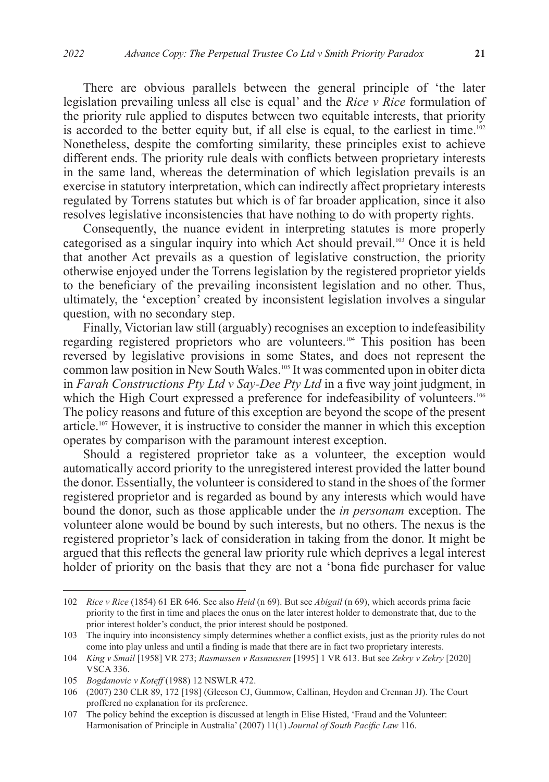There are obvious parallels between the general principle of 'the later legislation prevailing unless all else is equal' and the *Rice v Rice* formulation of the priority rule applied to disputes between two equitable interests, that priority is accorded to the better equity but, if all else is equal, to the earliest in time.<sup>102</sup> Nonetheless, despite the comforting similarity, these principles exist to achieve different ends. The priority rule deals with conflicts between proprietary interests in the same land, whereas the determination of which legislation prevails is an exercise in statutory interpretation, which can indirectly affect proprietary interests regulated by Torrens statutes but which is of far broader application, since it also resolves legislative inconsistencies that have nothing to do with property rights.

Consequently, the nuance evident in interpreting statutes is more properly categorised as a singular inquiry into which Act should prevail.<sup>103</sup> Once it is held that another Act prevails as a question of legislative construction, the priority otherwise enjoyed under the Torrens legislation by the registered proprietor yields to the beneficiary of the prevailing inconsistent legislation and no other. Thus, ultimately, the 'exception' created by inconsistent legislation involves a singular question, with no secondary step.

Finally, Victorian law still (arguably) recognises an exception to indefeasibility regarding registered proprietors who are volunteers.104 This position has been reversed by legislative provisions in some States, and does not represent the common law position in New South Wales.105 It was commented upon in obiter dicta in *Farah Constructions Pty Ltd v Say-Dee Pty Ltd* in a five way joint judgment, in which the High Court expressed a preference for indefeasibility of volunteers.<sup>106</sup> The policy reasons and future of this exception are beyond the scope of the present article.107 However, it is instructive to consider the manner in which this exception operates by comparison with the paramount interest exception.

Should a registered proprietor take as a volunteer, the exception would automatically accord priority to the unregistered interest provided the latter bound the donor. Essentially, the volunteer is considered to stand in the shoes of the former registered proprietor and is regarded as bound by any interests which would have bound the donor, such as those applicable under the *in personam* exception. The volunteer alone would be bound by such interests, but no others. The nexus is the registered proprietor's lack of consideration in taking from the donor. It might be argued that this reflects the general law priority rule which deprives a legal interest holder of priority on the basis that they are not a 'bona fide purchaser for value

<sup>102</sup> *Rice v Rice* (1854) 61 ER 646. See also *Heid* (n 69). But see *Abigail* (n 69), which accords prima facie priority to the first in time and places the onus on the later interest holder to demonstrate that, due to the prior interest holder's conduct, the prior interest should be postponed.

<sup>103</sup> The inquiry into inconsistency simply determines whether a conflict exists, just as the priority rules do not come into play unless and until a finding is made that there are in fact two proprietary interests.

<sup>104</sup> *King v Smail* [1958] VR 273; *Rasmussen v Rasmussen* [1995] 1 VR 613. But see *Zekry v Zekry* [2020] VSCA 336.

<sup>105</sup> *Bogdanovic v Koteff* (1988) 12 NSWLR 472.

<sup>106</sup> (2007) 230 CLR 89, 172 [198] (Gleeson CJ, Gummow, Callinan, Heydon and Crennan JJ). The Court proffered no explanation for its preference.

<sup>107</sup> The policy behind the exception is discussed at length in Elise Histed, 'Fraud and the Volunteer: Harmonisation of Principle in Australia' (2007) 11(1) *Journal of South Pacific Law* 116.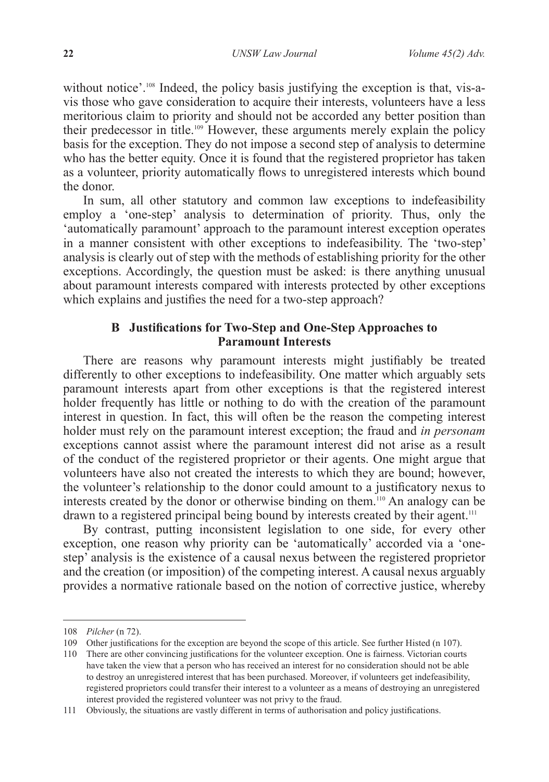without notice'.<sup>108</sup> Indeed, the policy basis justifying the exception is that, vis-avis those who gave consideration to acquire their interests, volunteers have a less meritorious claim to priority and should not be accorded any better position than their predecessor in title.109 However, these arguments merely explain the policy basis for the exception. They do not impose a second step of analysis to determine who has the better equity. Once it is found that the registered proprietor has taken as a volunteer, priority automatically flows to unregistered interests which bound the donor.

In sum, all other statutory and common law exceptions to indefeasibility employ a 'one-step' analysis to determination of priority. Thus, only the 'automatically paramount' approach to the paramount interest exception operates in a manner consistent with other exceptions to indefeasibility. The 'two-step' analysis is clearly out of step with the methods of establishing priority for the other exceptions. Accordingly, the question must be asked: is there anything unusual about paramount interests compared with interests protected by other exceptions which explains and justifies the need for a two-step approach?

## **B Justifications for Two-Step and One-Step Approaches to Paramount Interests**

There are reasons why paramount interests might justifiably be treated differently to other exceptions to indefeasibility. One matter which arguably sets paramount interests apart from other exceptions is that the registered interest holder frequently has little or nothing to do with the creation of the paramount interest in question. In fact, this will often be the reason the competing interest holder must rely on the paramount interest exception; the fraud and *in personam* exceptions cannot assist where the paramount interest did not arise as a result of the conduct of the registered proprietor or their agents. One might argue that volunteers have also not created the interests to which they are bound; however, the volunteer's relationship to the donor could amount to a justificatory nexus to interests created by the donor or otherwise binding on them.110 An analogy can be drawn to a registered principal being bound by interests created by their agent.<sup>111</sup>

By contrast, putting inconsistent legislation to one side, for every other exception, one reason why priority can be 'automatically' accorded via a 'onestep' analysis is the existence of a causal nexus between the registered proprietor and the creation (or imposition) of the competing interest. A causal nexus arguably provides a normative rationale based on the notion of corrective justice, whereby

<sup>108</sup> *Pilcher* (n 72).

<sup>109</sup> Other justifications for the exception are beyond the scope of this article. See further Histed (n 107).

<sup>110</sup> There are other convincing justifications for the volunteer exception. One is fairness. Victorian courts have taken the view that a person who has received an interest for no consideration should not be able to destroy an unregistered interest that has been purchased. Moreover, if volunteers get indefeasibility, registered proprietors could transfer their interest to a volunteer as a means of destroying an unregistered interest provided the registered volunteer was not privy to the fraud.

<sup>111</sup> Obviously, the situations are vastly different in terms of authorisation and policy justifications.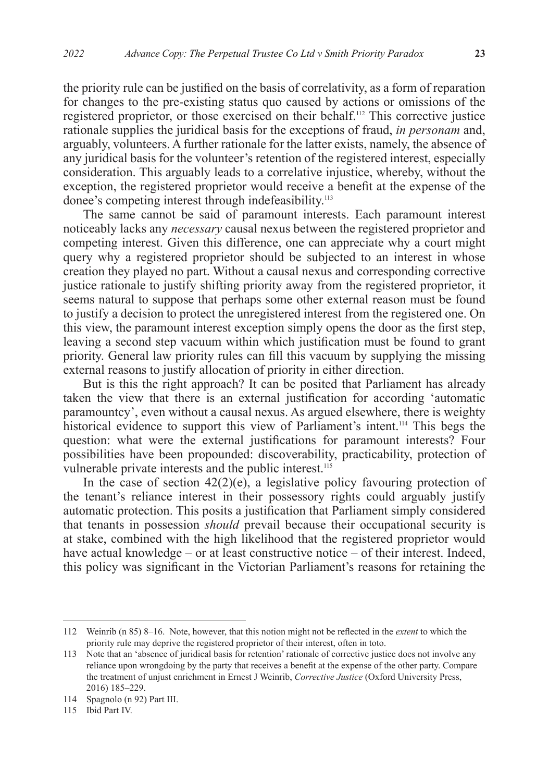the priority rule can be justified on the basis of correlativity, as a form of reparation for changes to the pre-existing status quo caused by actions or omissions of the registered proprietor, or those exercised on their behalf.112 This corrective justice rationale supplies the juridical basis for the exceptions of fraud, *in personam* and, arguably, volunteers. A further rationale for the latter exists, namely, the absence of any juridical basis for the volunteer's retention of the registered interest, especially consideration. This arguably leads to a correlative injustice, whereby, without the exception, the registered proprietor would receive a benefit at the expense of the donee's competing interest through indefeasibility.113

The same cannot be said of paramount interests. Each paramount interest noticeably lacks any *necessary* causal nexus between the registered proprietor and competing interest. Given this difference, one can appreciate why a court might query why a registered proprietor should be subjected to an interest in whose creation they played no part. Without a causal nexus and corresponding corrective justice rationale to justify shifting priority away from the registered proprietor, it seems natural to suppose that perhaps some other external reason must be found to justify a decision to protect the unregistered interest from the registered one. On this view, the paramount interest exception simply opens the door as the first step, leaving a second step vacuum within which justification must be found to grant priority. General law priority rules can fill this vacuum by supplying the missing external reasons to justify allocation of priority in either direction.

But is this the right approach? It can be posited that Parliament has already taken the view that there is an external justification for according 'automatic paramountcy', even without a causal nexus. As argued elsewhere, there is weighty historical evidence to support this view of Parliament's intent.<sup>114</sup> This begs the question: what were the external justifications for paramount interests? Four possibilities have been propounded: discoverability, practicability, protection of vulnerable private interests and the public interest.<sup>115</sup>

In the case of section  $42(2)(e)$ , a legislative policy favouring protection of the tenant's reliance interest in their possessory rights could arguably justify automatic protection. This posits a justification that Parliament simply considered that tenants in possession *should* prevail because their occupational security is at stake, combined with the high likelihood that the registered proprietor would have actual knowledge – or at least constructive notice – of their interest. Indeed, this policy was significant in the Victorian Parliament's reasons for retaining the

<sup>112</sup> Weinrib (n 85) 8–16. Note, however, that this notion might not be reflected in the *extent* to which the priority rule may deprive the registered proprietor of their interest, often in toto.

<sup>113</sup> Note that an 'absence of juridical basis for retention' rationale of corrective justice does not involve any reliance upon wrongdoing by the party that receives a benefit at the expense of the other party. Compare the treatment of unjust enrichment in Ernest J Weinrib, *Corrective Justice* (Oxford University Press, 2016) 185–229.

<sup>114</sup> Spagnolo (n 92) Part III.

<sup>115</sup> Ibid Part IV.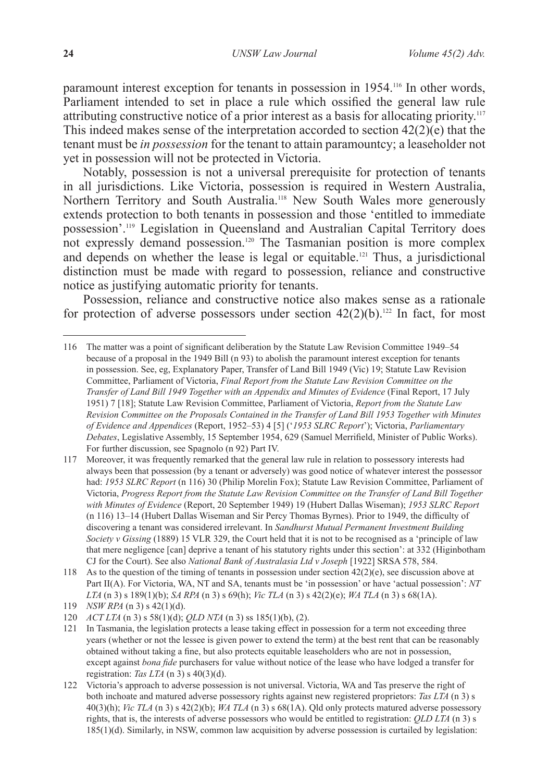paramount interest exception for tenants in possession in 1954.116 In other words, Parliament intended to set in place a rule which ossified the general law rule attributing constructive notice of a prior interest as a basis for allocating priority.<sup>117</sup> This indeed makes sense of the interpretation accorded to section  $42(2)(e)$  that the tenant must be *in possession* for the tenant to attain paramountcy; a leaseholder not yet in possession will not be protected in Victoria.

Notably, possession is not a universal prerequisite for protection of tenants in all jurisdictions. Like Victoria, possession is required in Western Australia, Northern Territory and South Australia.<sup>118</sup> New South Wales more generously extends protection to both tenants in possession and those 'entitled to immediate possession'.119 Legislation in Queensland and Australian Capital Territory does not expressly demand possession.<sup>120</sup> The Tasmanian position is more complex and depends on whether the lease is legal or equitable.<sup>121</sup> Thus, a jurisdictional distinction must be made with regard to possession, reliance and constructive notice as justifying automatic priority for tenants.

Possession, reliance and constructive notice also makes sense as a rationale for protection of adverse possessors under section  $42(2)(b)$ .<sup>122</sup> In fact, for most

<sup>116</sup> The matter was a point of significant deliberation by the Statute Law Revision Committee 1949–54 because of a proposal in the 1949 Bill (n 93) to abolish the paramount interest exception for tenants in possession. See, eg, Explanatory Paper, Transfer of Land Bill 1949 (Vic) 19; Statute Law Revision Committee, Parliament of Victoria, *Final Report from the Statute Law Revision Committee on the Transfer of Land Bill 1949 Together with an Appendix and Minutes of Evidence* (Final Report, 17 July 1951) 7 [18]; Statute Law Revision Committee, Parliament of Victoria, *Report from the Statute Law Revision Committee on the Proposals Contained in the Transfer of Land Bill 1953 Together with Minutes of Evidence and Appendices* (Report, 1952–53) 4 [5] ('*1953 SLRC Report*'); Victoria, *Parliamentary Debates*, Legislative Assembly, 15 September 1954, 629 (Samuel Merrifield, Minister of Public Works). For further discussion, see Spagnolo (n 92) Part IV.

<sup>117</sup> Moreover, it was frequently remarked that the general law rule in relation to possessory interests had always been that possession (by a tenant or adversely) was good notice of whatever interest the possessor had: *1953 SLRC Report* (n 116) 30 (Philip Morelin Fox); Statute Law Revision Committee, Parliament of Victoria, *Progress Report from the Statute Law Revision Committee on the Transfer of Land Bill Together with Minutes of Evidence* (Report, 20 September 1949) 19 (Hubert Dallas Wiseman); *1953 SLRC Report* (n 116) 13–14 (Hubert Dallas Wiseman and Sir Percy Thomas Byrnes). Prior to 1949, the difficulty of discovering a tenant was considered irrelevant. In *Sandhurst Mutual Permanent Investment Building Society v Gissing* (1889) 15 VLR 329, the Court held that it is not to be recognised as a 'principle of law that mere negligence [can] deprive a tenant of his statutory rights under this section': at 332 (Higinbotham CJ for the Court). See also *National Bank of Australasia Ltd v Joseph* [1922] SRSA 578, 584.

<sup>118</sup> As to the question of the timing of tenants in possession under section 42(2)(e), see discussion above at Part II(A). For Victoria, WA, NT and SA, tenants must be 'in possession' or have 'actual possession': *NT LTA* (n 3) s 189(1)(b); *SA RPA* (n 3) s 69(h); *Vic TLA* (n 3) s 42(2)(e); *WA TLA* (n 3) s 68(1A).

<sup>119</sup> *NSW RPA* (n 3) s 42(1)(d).

<sup>120</sup> *ACT LTA* (n 3) s 58(1)(d); *QLD NTA* (n 3) ss 185(1)(b), (2).

<sup>121</sup> In Tasmania, the legislation protects a lease taking effect in possession for a term not exceeding three years (whether or not the lessee is given power to extend the term) at the best rent that can be reasonably obtained without taking a fine, but also protects equitable leaseholders who are not in possession, except against *bona fide* purchasers for value without notice of the lease who have lodged a transfer for registration: *Tas LTA* (n 3) s 40(3)(d).

<sup>122</sup> Victoria's approach to adverse possession is not universal. Victoria, WA and Tas preserve the right of both inchoate and matured adverse possessory rights against new registered proprietors: *Tas LTA* (n 3) s 40(3)(h); *Vic TLA* (n 3) s 42(2)(b); *WA TLA* (n 3) s 68(1A). Qld only protects matured adverse possessory rights, that is, the interests of adverse possessors who would be entitled to registration: *QLD LTA* (n 3) s 185(1)(d). Similarly, in NSW, common law acquisition by adverse possession is curtailed by legislation: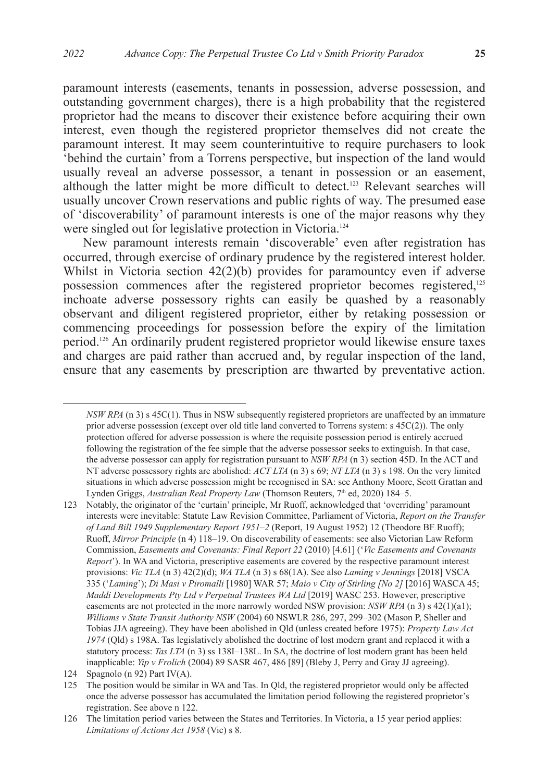paramount interests (easements, tenants in possession, adverse possession, and outstanding government charges), there is a high probability that the registered proprietor had the means to discover their existence before acquiring their own interest, even though the registered proprietor themselves did not create the paramount interest. It may seem counterintuitive to require purchasers to look 'behind the curtain' from a Torrens perspective, but inspection of the land would usually reveal an adverse possessor, a tenant in possession or an easement, although the latter might be more difficult to detect.<sup>123</sup> Relevant searches will usually uncover Crown reservations and public rights of way. The presumed ease of 'discoverability' of paramount interests is one of the major reasons why they were singled out for legislative protection in Victoria.<sup>124</sup>

New paramount interests remain 'discoverable' even after registration has occurred, through exercise of ordinary prudence by the registered interest holder. Whilst in Victoria section 42(2)(b) provides for paramountcy even if adverse possession commences after the registered proprietor becomes registered,<sup>125</sup> inchoate adverse possessory rights can easily be quashed by a reasonably observant and diligent registered proprietor, either by retaking possession or commencing proceedings for possession before the expiry of the limitation period.126 An ordinarily prudent registered proprietor would likewise ensure taxes and charges are paid rather than accrued and, by regular inspection of the land, ensure that any easements by prescription are thwarted by preventative action.

*NSW RPA* (n 3) s 45C(1). Thus in NSW subsequently registered proprietors are unaffected by an immature prior adverse possession (except over old title land converted to Torrens system: s 45C(2)). The only protection offered for adverse possession is where the requisite possession period is entirely accrued following the registration of the fee simple that the adverse possessor seeks to extinguish. In that case, the adverse possessor can apply for registration pursuant to *NSW RPA* (n 3) section 45D. In the ACT and NT adverse possessory rights are abolished: *ACT LTA* (n 3) s 69; *NT LTA* (n 3) s 198. On the very limited situations in which adverse possession might be recognised in SA: see Anthony Moore, Scott Grattan and Lynden Griggs, *Australian Real Property Law* (Thomson Reuters, 7<sup>th</sup> ed, 2020) 184–5.

<sup>123</sup> Notably, the originator of the 'curtain' principle, Mr Ruoff, acknowledged that 'overriding' paramount interests were inevitable: Statute Law Revision Committee, Parliament of Victoria, *Report on the Transfer of Land Bill 1949 Supplementary Report 1951*–*2* (Report, 19 August 1952) 12 (Theodore BF Ruoff); Ruoff, *Mirror Principle* (n 4) 118–19. On discoverability of easements: see also Victorian Law Reform Commission, *Easements and Covenants: Final Report 22* (2010) [4.61] ('*Vic Easements and Covenants Report*'). In WA and Victoria, prescriptive easements are covered by the respective paramount interest provisions: *Vic TLA* (n 3) 42(2)(d); *WA TLA* (n 3) s 68(1A). See also *Laming v Jennings* [2018] VSCA 335 ('*Laming*'); *Di Masi v Piromalli* [1980] WAR 57; *Maio v City of Stirling [No 2]* [2016] WASCA 45; *Maddi Developments Pty Ltd v Perpetual Trustees WA Ltd* [2019] WASC 253. However, prescriptive easements are not protected in the more narrowly worded NSW provision: *NSW RPA* (n 3) s 42(1)(a1); *Williams v State Transit Authority NSW* (2004) 60 NSWLR 286, 297, 299–302 (Mason P, Sheller and Tobias JJA agreeing). They have been abolished in Qld (unless created before 1975): *Property Law Act 1974* (Qld) s 198A. Tas legislatively abolished the doctrine of lost modern grant and replaced it with a statutory process: *Tas LTA* (n 3) ss 138I–138L. In SA, the doctrine of lost modern grant has been held inapplicable: *Yip v Frolich* (2004) 89 SASR 467, 486 [89] (Bleby J, Perry and Gray JJ agreeing).

<sup>124</sup> Spagnolo (n 92) Part IV(A).

<sup>125</sup> The position would be similar in WA and Tas. In Qld, the registered proprietor would only be affected once the adverse possessor has accumulated the limitation period following the registered proprietor's registration. See above n 122.

<sup>126</sup> The limitation period varies between the States and Territories. In Victoria, a 15 year period applies: *Limitations of Actions Act 1958* (Vic) s 8.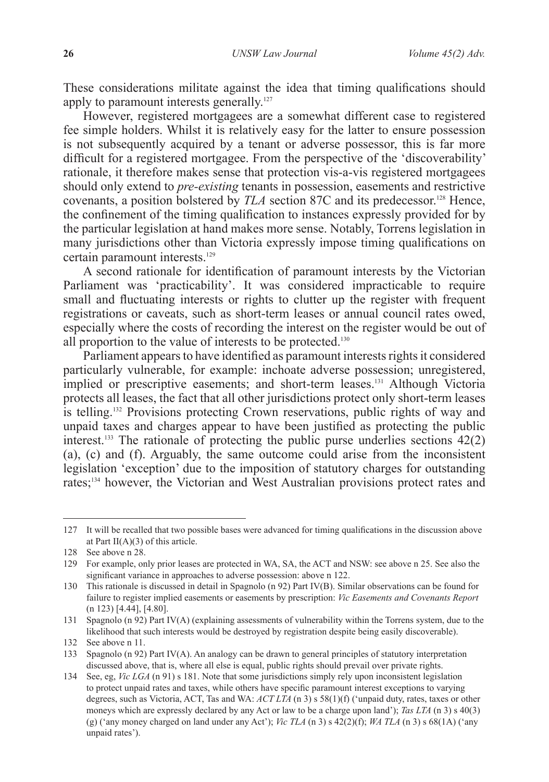These considerations militate against the idea that timing qualifications should apply to paramount interests generally.<sup>127</sup>

However, registered mortgagees are a somewhat different case to registered fee simple holders. Whilst it is relatively easy for the latter to ensure possession is not subsequently acquired by a tenant or adverse possessor, this is far more difficult for a registered mortgagee. From the perspective of the 'discoverability' rationale, it therefore makes sense that protection vis-a-vis registered mortgagees should only extend to *pre-existing* tenants in possession, easements and restrictive covenants, a position bolstered by *TLA* section 87C and its predecessor.128 Hence, the confinement of the timing qualification to instances expressly provided for by the particular legislation at hand makes more sense. Notably, Torrens legislation in many jurisdictions other than Victoria expressly impose timing qualifications on certain paramount interests.<sup>129</sup>

A second rationale for identification of paramount interests by the Victorian Parliament was 'practicability'. It was considered impracticable to require small and fluctuating interests or rights to clutter up the register with frequent registrations or caveats, such as short-term leases or annual council rates owed, especially where the costs of recording the interest on the register would be out of all proportion to the value of interests to be protected.<sup>130</sup>

Parliament appears to have identified as paramount interests rights it considered particularly vulnerable, for example: inchoate adverse possession; unregistered, implied or prescriptive easements; and short-term leases.<sup>131</sup> Although Victoria protects all leases, the fact that all other jurisdictions protect only short-term leases is telling.132 Provisions protecting Crown reservations, public rights of way and unpaid taxes and charges appear to have been justified as protecting the public interest.<sup>133</sup> The rationale of protecting the public purse underlies sections  $42(2)$ (a), (c) and (f). Arguably, the same outcome could arise from the inconsistent legislation 'exception' due to the imposition of statutory charges for outstanding rates;134 however, the Victorian and West Australian provisions protect rates and

<sup>127</sup> It will be recalled that two possible bases were advanced for timing qualifications in the discussion above at Part  $II(A)(3)$  of this article.

<sup>128</sup> See above n 28.

<sup>129</sup> For example, only prior leases are protected in WA, SA, the ACT and NSW: see above n 25. See also the significant variance in approaches to adverse possession: above n 122.

<sup>130</sup> This rationale is discussed in detail in Spagnolo (n 92) Part IV(B). Similar observations can be found for failure to register implied easements or easements by prescription: *Vic Easements and Covenants Report*  (n 123) [4.44], [4.80].

<sup>131</sup> Spagnolo (n 92) Part IV(A) (explaining assessments of vulnerability within the Torrens system, due to the likelihood that such interests would be destroyed by registration despite being easily discoverable).

<sup>132</sup> See above n 11.

<sup>133</sup> Spagnolo (n 92) Part IV(A). An analogy can be drawn to general principles of statutory interpretation discussed above, that is, where all else is equal, public rights should prevail over private rights.

<sup>134</sup> See, eg, *Vic LGA* (n 91) s 181. Note that some jurisdictions simply rely upon inconsistent legislation to protect unpaid rates and taxes, while others have specific paramount interest exceptions to varying degrees, such as Victoria, ACT, Tas and WA: *ACT LTA* (n 3) s 58(1)(f) ('unpaid duty, rates, taxes or other moneys which are expressly declared by any Act or law to be a charge upon land'); *Tas LTA* (n 3) s 40(3) (g) ('any money charged on land under any Act'); *Vic TLA* (n 3) s 42(2)(f); *WA TLA* (n 3) s 68(1A) ('any unpaid rates').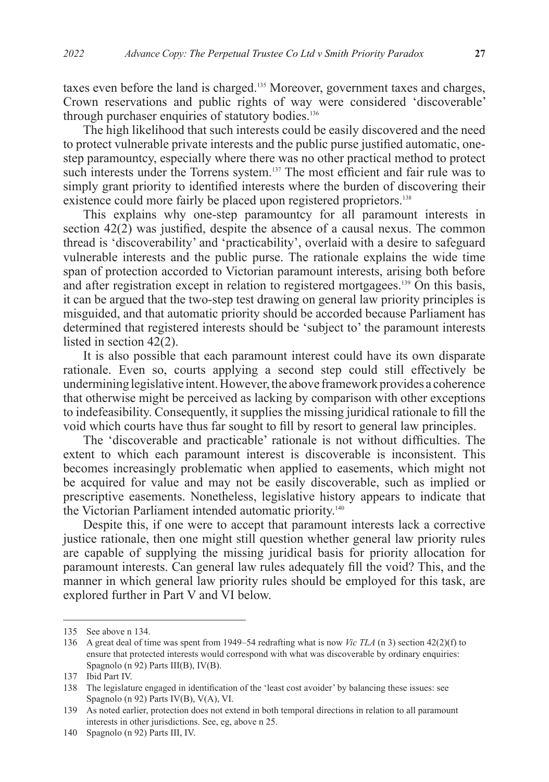taxes even before the land is charged.<sup>135</sup> Moreover, government taxes and charges, Crown reservations and public rights of way were considered 'discoverable' through purchaser enquiries of statutory bodies.<sup>136</sup>

The high likelihood that such interests could be easily discovered and the need to protect vulnerable private interests and the public purse justified automatic, onestep paramountcy, especially where there was no other practical method to protect such interests under the Torrens system.<sup>137</sup> The most efficient and fair rule was to simply grant priority to identified interests where the burden of discovering their existence could more fairly be placed upon registered proprietors.<sup>138</sup>

This explains why one-step paramountcy for all paramount interests in section 42(2) was justified, despite the absence of a causal nexus. The common thread is 'discoverability' and 'practicability', overlaid with a desire to safeguard vulnerable interests and the public purse. The rationale explains the wide time span of protection accorded to Victorian paramount interests, arising both before and after registration except in relation to registered mortgagees.<sup>139</sup> On this basis, it can be argued that the two-step test drawing on general law priority principles is misguided, and that automatic priority should be accorded because Parliament has determined that registered interests should be 'subject to' the paramount interests listed in section 42(2).

It is also possible that each paramount interest could have its own disparate rationale. Even so, courts applying a second step could still effectively be undermining legislative intent. However, the above framework provides a coherence that otherwise might be perceived as lacking by comparison with other exceptions to indefeasibility. Consequently, it supplies the missing juridical rationale to fill the void which courts have thus far sought to fill by resort to general law principles.

The 'discoverable and practicable' rationale is not without difficulties. The extent to which each paramount interest is discoverable is inconsistent. This becomes increasingly problematic when applied to easements, which might not be acquired for value and may not be easily discoverable, such as implied or prescriptive easements. Nonetheless, legislative history appears to indicate that the Victorian Parliament intended automatic priority.<sup>140</sup>

Despite this, if one were to accept that paramount interests lack a corrective justice rationale, then one might still question whether general law priority rules are capable of supplying the missing juridical basis for priority allocation for paramount interests. Can general law rules adequately fill the void? This, and the manner in which general law priority rules should be employed for this task, are explored further in Part V and VI below.

<sup>135</sup> See above n 134.

<sup>136</sup> A great deal of time was spent from 1949–54 redrafting what is now *Vic TLA* (n 3) section 42(2)(f) to ensure that protected interests would correspond with what was discoverable by ordinary enquiries: Spagnolo (n 92) Parts III(B), IV(B).

<sup>137</sup> Ibid Part IV.

<sup>138</sup> The legislature engaged in identification of the 'least cost avoider' by balancing these issues: see Spagnolo (n 92) Parts IV(B), V(A), VI.

<sup>139</sup> As noted earlier, protection does not extend in both temporal directions in relation to all paramount interests in other jurisdictions. See, eg, above n 25.

<sup>140</sup> Spagnolo (n 92) Parts III, IV.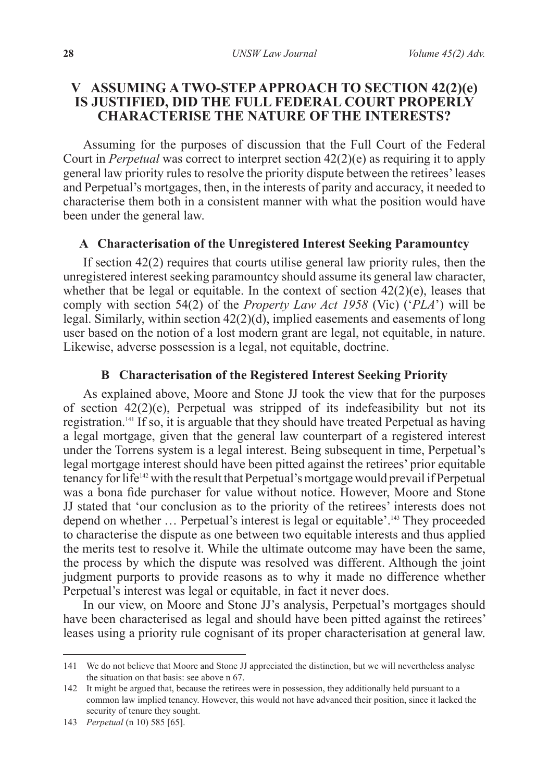# **V ASSUMING A TWO-STEP APPROACH TO SECTION 42(2)(e) IS JUSTIFIED, DID THE FULL FEDERAL COURT PROPERLY CHARACTERISE THE NATURE OF THE INTERESTS?**

Assuming for the purposes of discussion that the Full Court of the Federal Court in *Perpetual* was correct to interpret section 42(2)(e) as requiring it to apply general law priority rules to resolve the priority dispute between the retirees' leases and Perpetual's mortgages, then, in the interests of parity and accuracy, it needed to characterise them both in a consistent manner with what the position would have been under the general law.

## **A Characterisation of the Unregistered Interest Seeking Paramountcy**

If section 42(2) requires that courts utilise general law priority rules, then the unregistered interest seeking paramountcy should assume its general law character, whether that be legal or equitable. In the context of section  $42(2)(e)$ , leases that comply with section 54(2) of the *Property Law Act 1958* (Vic) ('*PLA*') will be legal. Similarly, within section 42(2)(d), implied easements and easements of long user based on the notion of a lost modern grant are legal, not equitable, in nature. Likewise, adverse possession is a legal, not equitable, doctrine.

## **B Characterisation of the Registered Interest Seeking Priority**

As explained above, Moore and Stone JJ took the view that for the purposes of section  $42(2)(e)$ . Perpetual was stripped of its indefeasibility but not its registration.141 If so, it is arguable that they should have treated Perpetual as having a legal mortgage, given that the general law counterpart of a registered interest under the Torrens system is a legal interest. Being subsequent in time, Perpetual's legal mortgage interest should have been pitted against the retirees' prior equitable tenancy for life<sup>142</sup> with the result that Perpetual's mortgage would prevail if Perpetual was a bona fide purchaser for value without notice. However, Moore and Stone JJ stated that 'our conclusion as to the priority of the retirees' interests does not depend on whether … Perpetual's interest is legal or equitable'.143 They proceeded to characterise the dispute as one between two equitable interests and thus applied the merits test to resolve it. While the ultimate outcome may have been the same, the process by which the dispute was resolved was different. Although the joint judgment purports to provide reasons as to why it made no difference whether Perpetual's interest was legal or equitable, in fact it never does.

In our view, on Moore and Stone JJ's analysis, Perpetual's mortgages should have been characterised as legal and should have been pitted against the retirees' leases using a priority rule cognisant of its proper characterisation at general law.

<sup>141</sup> We do not believe that Moore and Stone JJ appreciated the distinction, but we will nevertheless analyse the situation on that basis: see above n 67.

<sup>142</sup> It might be argued that, because the retirees were in possession, they additionally held pursuant to a common law implied tenancy. However, this would not have advanced their position, since it lacked the security of tenure they sought.

<sup>143</sup> *Perpetual* (n 10) 585 [65].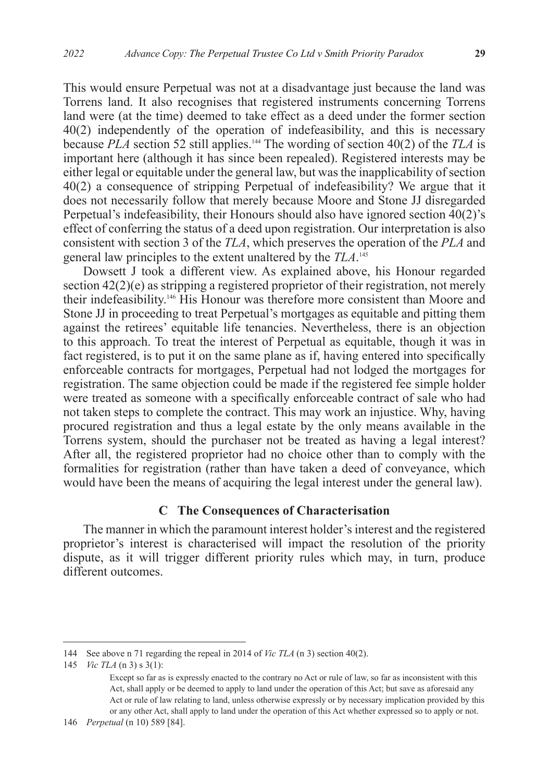This would ensure Perpetual was not at a disadvantage just because the land was Torrens land. It also recognises that registered instruments concerning Torrens land were (at the time) deemed to take effect as a deed under the former section 40(2) independently of the operation of indefeasibility, and this is necessary because *PLA* section 52 still applies.144 The wording of section 40(2) of the *TLA* is important here (although it has since been repealed). Registered interests may be either legal or equitable under the general law, but was the inapplicability of section 40(2) a consequence of stripping Perpetual of indefeasibility? We argue that it does not necessarily follow that merely because Moore and Stone JJ disregarded Perpetual's indefeasibility, their Honours should also have ignored section 40(2)'s effect of conferring the status of a deed upon registration. Our interpretation is also consistent with section 3 of the *TLA*, which preserves the operation of the *PLA* and general law principles to the extent unaltered by the *TLA*. 145

Dowsett J took a different view. As explained above, his Honour regarded section  $42(2)(e)$  as stripping a registered proprietor of their registration, not merely their indefeasibility.146 His Honour was therefore more consistent than Moore and Stone JJ in proceeding to treat Perpetual's mortgages as equitable and pitting them against the retirees' equitable life tenancies. Nevertheless, there is an objection to this approach. To treat the interest of Perpetual as equitable, though it was in fact registered, is to put it on the same plane as if, having entered into specifically enforceable contracts for mortgages, Perpetual had not lodged the mortgages for registration. The same objection could be made if the registered fee simple holder were treated as someone with a specifically enforceable contract of sale who had not taken steps to complete the contract. This may work an injustice. Why, having procured registration and thus a legal estate by the only means available in the Torrens system, should the purchaser not be treated as having a legal interest? After all, the registered proprietor had no choice other than to comply with the formalities for registration (rather than have taken a deed of conveyance, which would have been the means of acquiring the legal interest under the general law).

### **C The Consequences of Characterisation**

The manner in which the paramount interest holder's interest and the registered proprietor's interest is characterised will impact the resolution of the priority dispute, as it will trigger different priority rules which may, in turn, produce different outcomes.

<sup>144</sup> See above n 71 regarding the repeal in 2014 of *Vic TLA* (n 3) section 40(2).

<sup>145</sup> *Vic TLA* (n 3) s 3(1):

Except so far as is expressly enacted to the contrary no Act or rule of law, so far as inconsistent with this Act, shall apply or be deemed to apply to land under the operation of this Act; but save as aforesaid any Act or rule of law relating to land, unless otherwise expressly or by necessary implication provided by this or any other Act, shall apply to land under the operation of this Act whether expressed so to apply or not.

<sup>146</sup> *Perpetual* (n 10) 589 [84].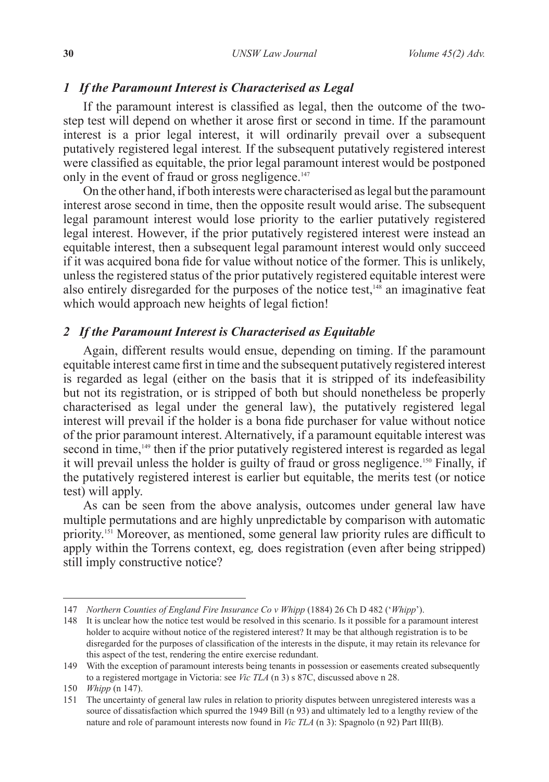#### *1 If the Paramount Interest is Characterised as Legal*

If the paramount interest is classified as legal, then the outcome of the twostep test will depend on whether it arose first or second in time. If the paramount interest is a prior legal interest, it will ordinarily prevail over a subsequent putatively registered legal interest*.* If the subsequent putatively registered interest were classified as equitable, the prior legal paramount interest would be postponed only in the event of fraud or gross negligence.<sup>147</sup>

On the other hand, if both interests were characterised as legal but the paramount interest arose second in time, then the opposite result would arise. The subsequent legal paramount interest would lose priority to the earlier putatively registered legal interest. However, if the prior putatively registered interest were instead an equitable interest, then a subsequent legal paramount interest would only succeed if it was acquired bona fide for value without notice of the former. This is unlikely, unless the registered status of the prior putatively registered equitable interest were also entirely disregarded for the purposes of the notice test,<sup>148</sup> an imaginative feat which would approach new heights of legal fiction!

## *2 If the Paramount Interest is Characterised as Equitable*

Again, different results would ensue, depending on timing. If the paramount equitable interest came first in time and the subsequent putatively registered interest is regarded as legal (either on the basis that it is stripped of its indefeasibility but not its registration, or is stripped of both but should nonetheless be properly characterised as legal under the general law), the putatively registered legal interest will prevail if the holder is a bona fide purchaser for value without notice of the prior paramount interest. Alternatively, if a paramount equitable interest was second in time,<sup>149</sup> then if the prior putatively registered interest is regarded as legal it will prevail unless the holder is guilty of fraud or gross negligence.<sup>150</sup> Finally, if the putatively registered interest is earlier but equitable, the merits test (or notice test) will apply.

As can be seen from the above analysis, outcomes under general law have multiple permutations and are highly unpredictable by comparison with automatic priority.<sup>151</sup> Moreover, as mentioned, some general law priority rules are difficult to apply within the Torrens context, eg*,* does registration (even after being stripped) still imply constructive notice?

<sup>147</sup> *Northern Counties of England Fire Insurance Co v Whipp* (1884) 26 Ch D 482 ('*Whipp*').

<sup>148</sup> It is unclear how the notice test would be resolved in this scenario. Is it possible for a paramount interest holder to acquire without notice of the registered interest? It may be that although registration is to be disregarded for the purposes of classification of the interests in the dispute, it may retain its relevance for this aspect of the test, rendering the entire exercise redundant.

<sup>149</sup> With the exception of paramount interests being tenants in possession or easements created subsequently to a registered mortgage in Victoria: see *Vic TLA* (n 3) s 87C, discussed above n 28.

<sup>150</sup> *Whipp* (n 147).

<sup>151</sup> The uncertainty of general law rules in relation to priority disputes between unregistered interests was a source of dissatisfaction which spurred the 1949 Bill (n 93) and ultimately led to a lengthy review of the nature and role of paramount interests now found in *Vic TLA* (n 3): Spagnolo (n 92) Part III(B).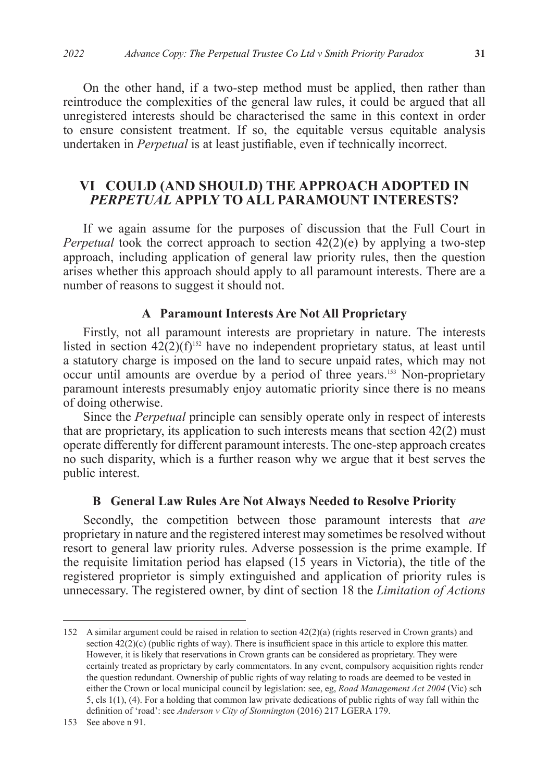On the other hand, if a two-step method must be applied, then rather than reintroduce the complexities of the general law rules, it could be argued that all unregistered interests should be characterised the same in this context in order to ensure consistent treatment. If so, the equitable versus equitable analysis undertaken in *Perpetual* is at least justifiable, even if technically incorrect.

## **VI COULD (AND SHOULD) THE APPROACH ADOPTED IN**  *PERPETUAL* **APPLY TO ALL PARAMOUNT INTERESTS?**

If we again assume for the purposes of discussion that the Full Court in *Perpetual* took the correct approach to section 42(2)(e) by applying a two-step approach, including application of general law priority rules, then the question arises whether this approach should apply to all paramount interests. There are a number of reasons to suggest it should not.

#### **A Paramount Interests Are Not All Proprietary**

Firstly, not all paramount interests are proprietary in nature. The interests listed in section  $42(2)(f)^{152}$  have no independent proprietary status, at least until a statutory charge is imposed on the land to secure unpaid rates, which may not occur until amounts are overdue by a period of three years.153 Non-proprietary paramount interests presumably enjoy automatic priority since there is no means of doing otherwise.

Since the *Perpetual* principle can sensibly operate only in respect of interests that are proprietary, its application to such interests means that section 42(2) must operate differently for different paramount interests. The one-step approach creates no such disparity, which is a further reason why we argue that it best serves the public interest.

#### **B General Law Rules Are Not Always Needed to Resolve Priority**

Secondly, the competition between those paramount interests that *are* proprietary in nature and the registered interest may sometimes be resolved without resort to general law priority rules. Adverse possession is the prime example. If the requisite limitation period has elapsed (15 years in Victoria), the title of the registered proprietor is simply extinguished and application of priority rules is unnecessary. The registered owner, by dint of section 18 the *Limitation of Actions* 

<sup>152</sup> A similar argument could be raised in relation to section 42(2)(a) (rights reserved in Crown grants) and section  $42(2)(c)$  (public rights of way). There is insufficient space in this article to explore this matter. However, it is likely that reservations in Crown grants can be considered as proprietary. They were certainly treated as proprietary by early commentators. In any event, compulsory acquisition rights render the question redundant. Ownership of public rights of way relating to roads are deemed to be vested in either the Crown or local municipal council by legislation: see, eg, *Road Management Act 2004* (Vic) sch 5, cls 1(1), (4). For a holding that common law private dedications of public rights of way fall within the definition of 'road': see *Anderson v City of Stonnington* (2016) 217 LGERA 179.

<sup>153</sup> See above n 91.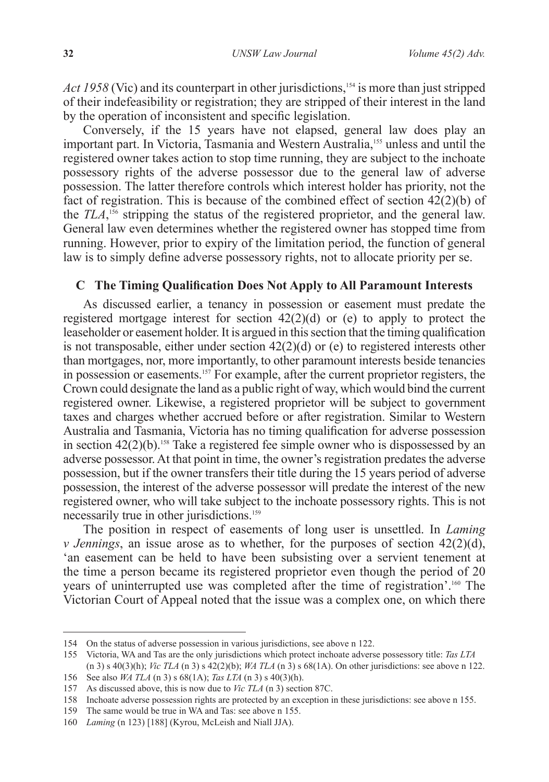Act 1958 (Vic) and its counterpart in other jurisdictions,<sup>154</sup> is more than just stripped of their indefeasibility or registration; they are stripped of their interest in the land by the operation of inconsistent and specific legislation.

Conversely, if the 15 years have not elapsed, general law does play an important part. In Victoria, Tasmania and Western Australia,<sup>155</sup> unless and until the registered owner takes action to stop time running, they are subject to the inchoate possessory rights of the adverse possessor due to the general law of adverse possession. The latter therefore controls which interest holder has priority, not the fact of registration. This is because of the combined effect of section  $42(2)(b)$  of the *TLA*, 156 stripping the status of the registered proprietor, and the general law. General law even determines whether the registered owner has stopped time from running. However, prior to expiry of the limitation period, the function of general law is to simply define adverse possessory rights, not to allocate priority per se.

#### **C The Timing Qualification Does Not Apply to All Paramount Interests**

As discussed earlier, a tenancy in possession or easement must predate the registered mortgage interest for section 42(2)(d) or (e) to apply to protect the leaseholder or easement holder. It is argued in this section that the timing qualification is not transposable, either under section 42(2)(d) or (e) to registered interests other than mortgages, nor, more importantly, to other paramount interests beside tenancies in possession or easements.157 For example, after the current proprietor registers, the Crown could designate the land as a public right of way, which would bind the current registered owner. Likewise, a registered proprietor will be subject to government taxes and charges whether accrued before or after registration. Similar to Western Australia and Tasmania, Victoria has no timing qualification for adverse possession in section  $42(2)(b)$ .<sup>158</sup> Take a registered fee simple owner who is dispossessed by an adverse possessor. At that point in time, the owner's registration predates the adverse possession, but if the owner transfers their title during the 15 years period of adverse possession, the interest of the adverse possessor will predate the interest of the new registered owner, who will take subject to the inchoate possessory rights. This is not necessarily true in other jurisdictions.<sup>159</sup>

The position in respect of easements of long user is unsettled. In *Laming v Jennings*, an issue arose as to whether, for the purposes of section 42(2)(d), 'an easement can be held to have been subsisting over a servient tenement at the time a person became its registered proprietor even though the period of 20 years of uninterrupted use was completed after the time of registration'.160 The Victorian Court of Appeal noted that the issue was a complex one, on which there

<sup>154</sup> On the status of adverse possession in various jurisdictions, see above n 122.

<sup>155</sup> Victoria, WA and Tas are the only jurisdictions which protect inchoate adverse possessory title: *Tas LTA*  (n 3) s 40(3)(h); *Vic TLA* (n 3) s 42(2)(b); *WA TLA* (n 3) s 68(1A). On other jurisdictions: see above n 122.

<sup>156</sup> See also *WA TLA* (n 3) s 68(1A); *Tas LTA* (n 3) s 40(3)(h).

<sup>157</sup> As discussed above, this is now due to *Vic TLA* (n 3) section 87C.

<sup>158</sup> Inchoate adverse possession rights are protected by an exception in these jurisdictions: see above n 155.

<sup>159</sup> The same would be true in WA and Tas: see above n 155.

<sup>160</sup> *Laming* (n 123) [188] (Kyrou, McLeish and Niall JJA).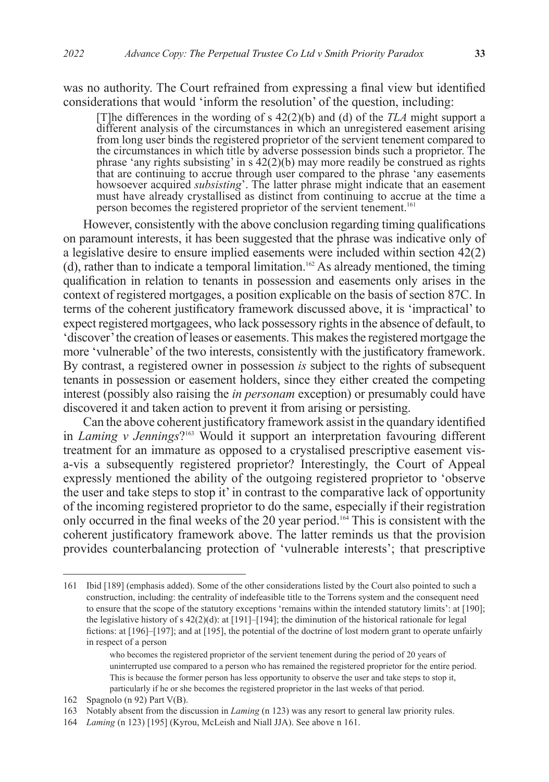was no authority. The Court refrained from expressing a final view but identified considerations that would 'inform the resolution' of the question, including:

[T]he differences in the wording of s 42(2)(b) and (d) of the *TLA* might support a different analysis of the circumstances in which an unregistered easement arising from long user binds the registered proprietor of the servient tenement compared to the circumstances in which title by adverse possession binds such a proprietor. The phrase 'any rights subsisting' in  $s$  42(2)(b) may more readily be construed as rights that are continuing to accrue through user compared to the phrase 'any easements howsoever acquired *subsisting*'. The latter phrase might indicate that an easement must have already crystallised as distinct from continuing to accrue at the time a person becomes the registered proprietor of the servient tenement.<sup>161</sup>

However, consistently with the above conclusion regarding timing qualifications on paramount interests, it has been suggested that the phrase was indicative only of a legislative desire to ensure implied easements were included within section 42(2) (d), rather than to indicate a temporal limitation.<sup>162</sup> As already mentioned, the timing qualification in relation to tenants in possession and easements only arises in the context of registered mortgages, a position explicable on the basis of section 87C. In terms of the coherent justificatory framework discussed above, it is 'impractical' to expect registered mortgagees, who lack possessory rights in the absence of default, to 'discover' the creation of leases or easements. This makes the registered mortgage the more 'vulnerable' of the two interests, consistently with the justificatory framework. By contrast, a registered owner in possession *is* subject to the rights of subsequent tenants in possession or easement holders, since they either created the competing interest (possibly also raising the *in personam* exception) or presumably could have discovered it and taken action to prevent it from arising or persisting.

Can the above coherent justificatory framework assist in the quandary identified in *Laming v Jennings*?163 Would it support an interpretation favouring different treatment for an immature as opposed to a crystalised prescriptive easement visa-vis a subsequently registered proprietor? Interestingly, the Court of Appeal expressly mentioned the ability of the outgoing registered proprietor to 'observe the user and take steps to stop it' in contrast to the comparative lack of opportunity of the incoming registered proprietor to do the same, especially if their registration only occurred in the final weeks of the 20 year period.164 This is consistent with the coherent justificatory framework above. The latter reminds us that the provision provides counterbalancing protection of 'vulnerable interests'; that prescriptive

<sup>161</sup> Ibid [189] (emphasis added). Some of the other considerations listed by the Court also pointed to such a construction, including: the centrality of indefeasible title to the Torrens system and the consequent need to ensure that the scope of the statutory exceptions 'remains within the intended statutory limits': at [190]; the legislative history of s  $42(2)(d)$ : at [191]–[194]; the diminution of the historical rationale for legal fictions: at [196]–[197]; and at [195], the potential of the doctrine of lost modern grant to operate unfairly in respect of a person

who becomes the registered proprietor of the servient tenement during the period of 20 years of uninterrupted use compared to a person who has remained the registered proprietor for the entire period. This is because the former person has less opportunity to observe the user and take steps to stop it, particularly if he or she becomes the registered proprietor in the last weeks of that period.

<sup>162</sup> Spagnolo (n 92) Part V(B).

<sup>163</sup> Notably absent from the discussion in *Laming* (n 123) was any resort to general law priority rules.

<sup>164</sup> *Laming* (n 123) [195] (Kyrou, McLeish and Niall JJA). See above n 161.